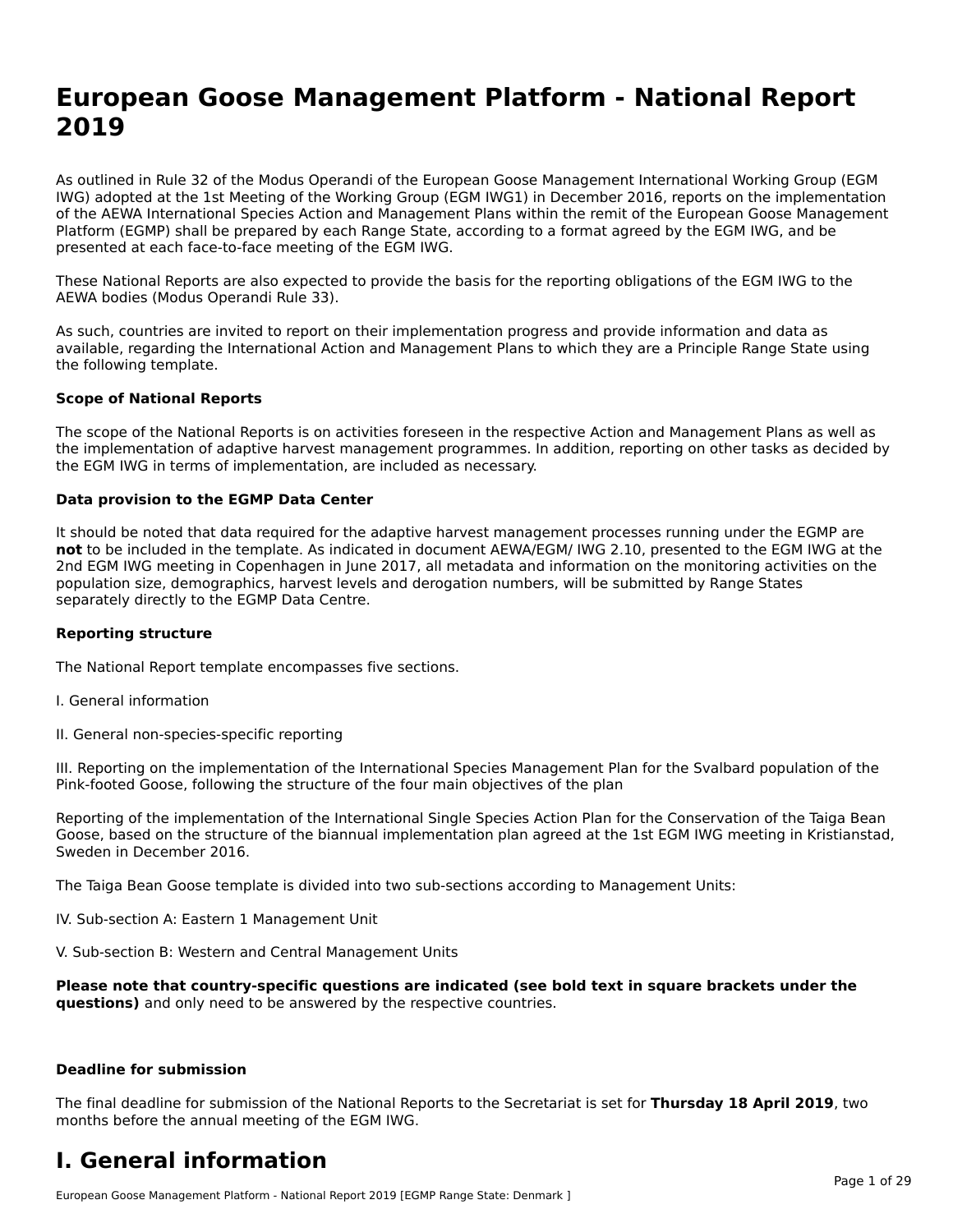# **European Goose Management Platform - National Report**European Goose Management Platform - National **Neport**<br>2010

As outlined in Rule 32 of the Modus Operandi of the European Goose Management International Working Group (EGM As buthled in Rule 32 of the Modus Operandi of the Lufopean Goose Management International Working Group (LGM<br>IWG) adopted at the 1st Meeting of the Working Group (EGM IWG1) in December 2016, reports on the implementation of the AEWA International Species Action and Management Plans within the remit of the European Goose Management Platform (EGMP) shall be prepared by each Range State, according to a format agreed by the EGM IWG, and be presented at each face-to-face meeting of the EGM IWG.

These National Reports are also expected to provide the basis for the reporting obligations of the EGM IWG to the AEWA bodies (Modus Operandi Rule 33).

As such, countries are invited to report on their implementation progress and provide information and data as<br>available, regarding the International Action and Management Plans to which they are a Principle Range State usi available, regarding the International Action and Management Plans to which they are a Principle Range State using the following template.

#### **Scope of National Reports**

The scope of the National Reports is on activities foreseen in the respective Action and Management Plans as well as The scope of the National Reports is on activities foreseen in the respective Action and Management Plans as well as<br>the implementation of adaptive harvest management programmes. In addition, reporting on other tasks as de the EGM IWG in terms of implementation, are included as necessary.

#### **Data provision to the EGMP Data Center**

It should be noted that data required for the adaptive harvest management processes running under the EGMP are **not** to be included in the template. As indicated in document AEWA/EGM/ IWG 2.10, presented to the EGM IWG at the 2nd EGM IWG meeting in Copenhagen in June 2017, all metadata and information on the monitoring activities on the population size, demographics, harvest levels and derogation numbers, will be submitted by Range States separately directly to the EGMP Data Centre.

#### **Reporting structure**

The National Report template encompasses five sections.

- I. General information
- II. General non-species-specific reporting

III. Reporting on the implementation of the International Species Management Plan for the Svalbard population of the

Reporting of the implementation of the International Single Species Action Plan for the Conservation of the Taiga Bean Reporting of the implementation of the international single species Action Fram for the conservation of the laiga beam<br>Goose, based on the structure of the biannual implementation plan agreed at the 1st EGM IWG meeting in

The Taiga Bean Goose template is divided into two sub-sections according to Management Units:

IV. Sub-section A: Eastern 1 Management Unit

V. Sub-section B: Western and Central Management Units

Please note that country-specific questions are indicated (see bold text in square brackets under the **questions)** and only need to be answered by the respective countries.

#### **Deadline for submission**

The final deadline for submission of the National Reports to the Secretariat is set for **Thursday 18 April 2019**, two months before the annual meeting of the EGM IWG.

### **I. General information**

European Goose Management Platform - National Report 2019 [EGMP Range State: Denmark ]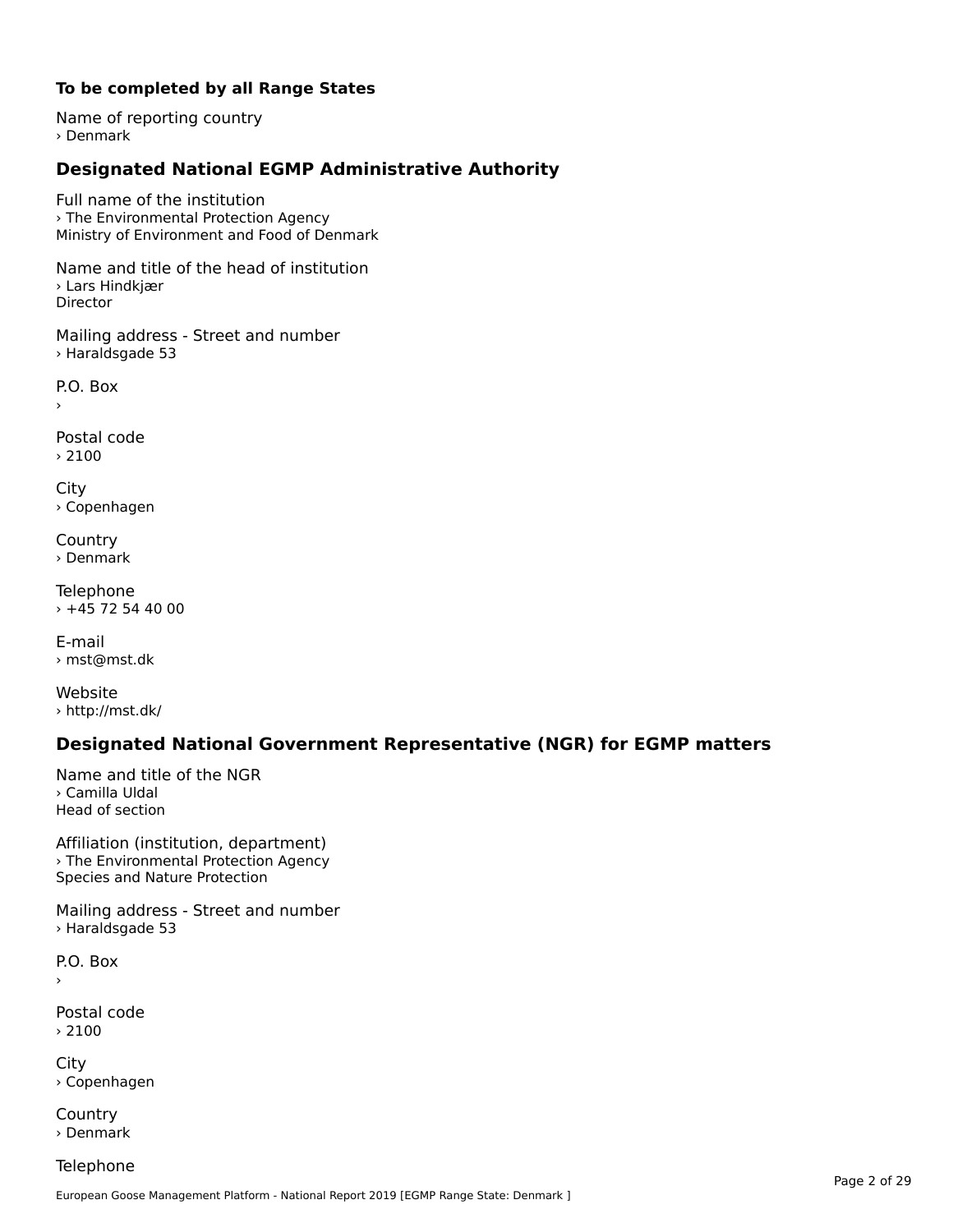### **To be completed by all Range States**

Name of reporting country › Denmark

# **Designated National EGMP Administrative Authority**

Full name of the institution› The Environmental Protection Agency*The Environmental Protection Agency*<br>Ministry of Environment and Food of Denmark

Name and title of the head of institution › Lars Hindkjær Director

Mailing address - Street and number › Haraldsgade 53

 $\overline{P}$ ›

Postal code › 2100

City › Copenhagen

**Country** › Denmark

Telephone  $+45$  72 54 40 00

E-mail› mst@mst.dk

Website › http://mst.dk/

## **Designated National Government Representative (NGR) for EGMP matters**

Name and title of the NGR› Camilla UldalHead of section

Affiliation (institution, department) › The Environmental Protection Agency *Prince Environmental Protection*<br>Species and Nature Protection

Mailing address - Street and number › Haraldsgade 53

P.O. Box›

Postal code› 2100

City › Copenhagen

**Country** › Denmark

**Telephone**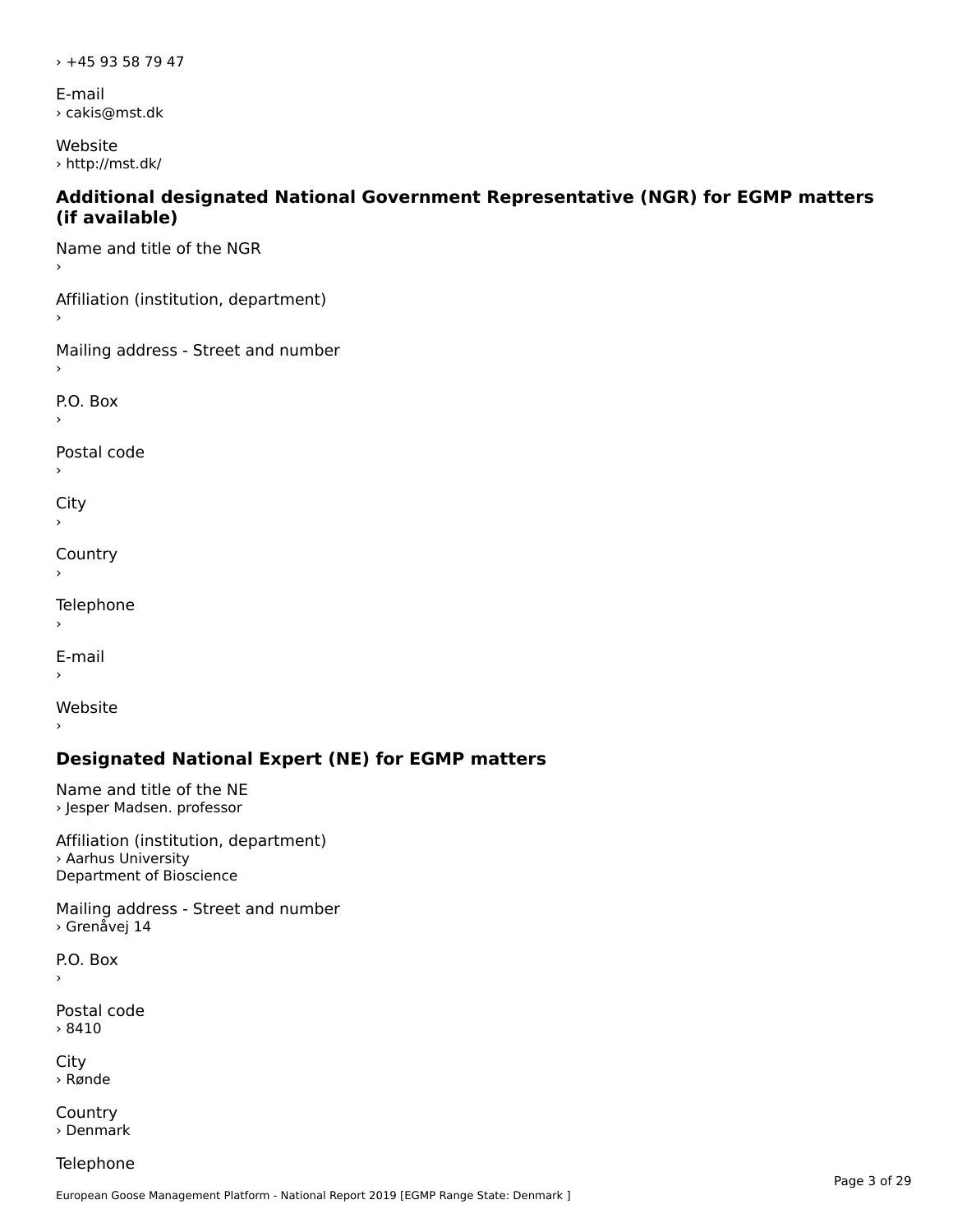› +45 93 58 79 47

E-mail › cakis@mst.dk

Website › http://mst.dk/

#### **Additional designated National Government Representative (NGR) for EGMP matters (if available)**

Name and title of the NGR

Affiliation (institution, department)

Mailing address - Street and number

P.O. Box

Postal code

 $\mathbf{C}^{\text{in}}$ 

›

**Country** 

**Telephone** 

 $\,$ 

E-mail›

Website

›

## **Designated National Expert (NE) for EGMP matters**

Name and title of the NE › Jesper Madsen. professor

Affiliation (institution, department)› Aarhus University Department of Bioscience

Mailing address - Street and number › Grenåvej 14

P.O. Box ›

Postal code› 8410

City › Rønde

**Country** › Denmark

Telephone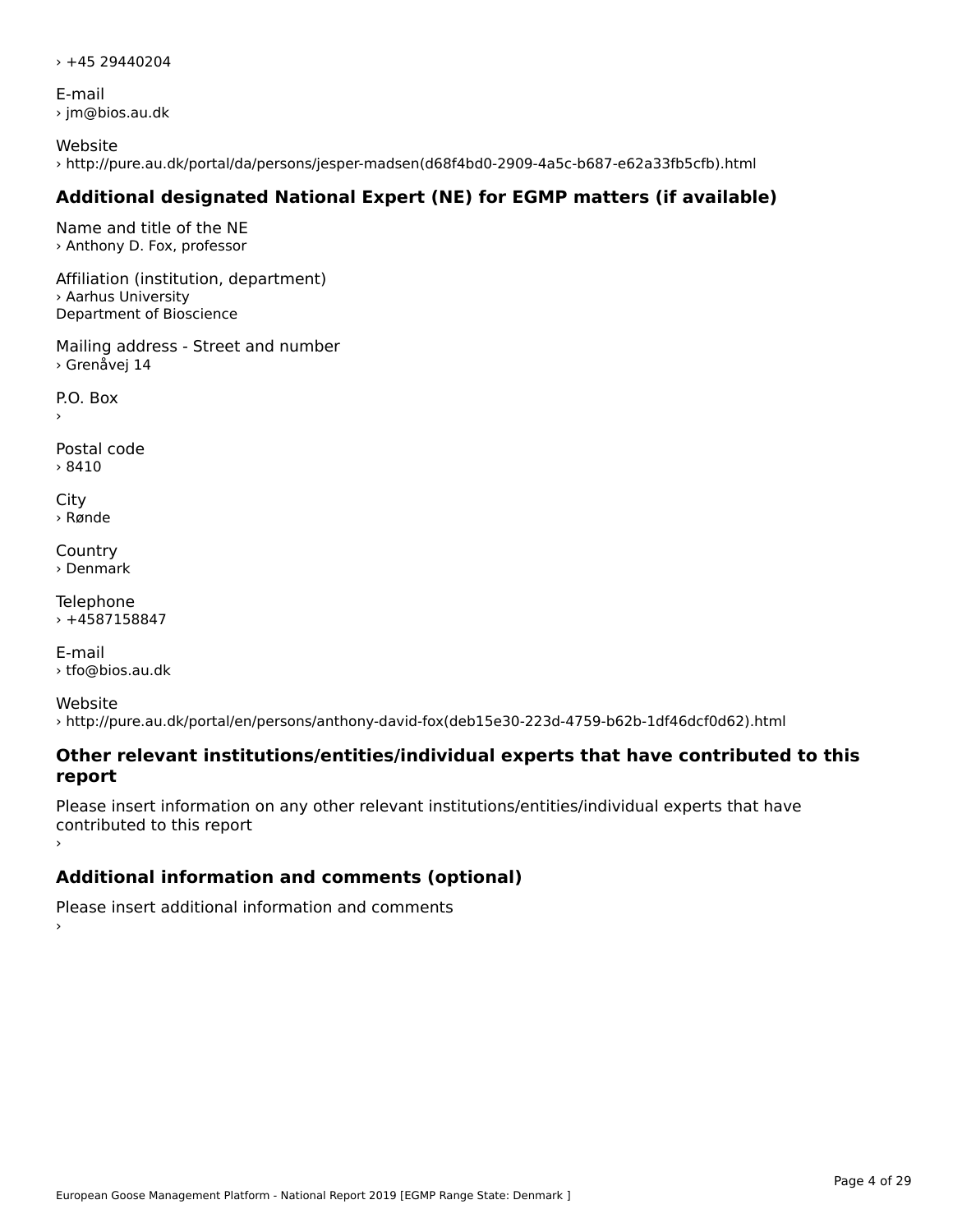$\times$  +45 29440204

E-mail › jm@bios.au.dk

Website › http://pure.au.dk/portal/da/persons/jesper-madsen(d68f4bd0-2909-4a5c-b687-e62a33fb5cfb).html

# **Additional designated National Expert (NE) for EGMP matters (if available)**

Name and title of the NE › Anthony D. Fox, professor

Affiliation (institution, department) › Aarhus University Department of Bioscience

Mailing address - Street and number › Grenåvej 14

P.O. Box

Postal code› 8410

City › Rønde

**Country** › Denmark

Telephone  $+4587158847$ 

E-mail› tfo@bios.au.dk

Website› http://pure.au.dk/portal/en/persons/anthony-david-fox(deb15e30-223d-4759-b62b-1df46dcf0d62).html

#### **Other relevant institutions/entities/individual experts that have contributed to this report**report

Please insert information on any other relevant institutions/entities/individual experts that have contributed to this report

# **Additional information and comments (optional)**

Please insert additional information and comments ›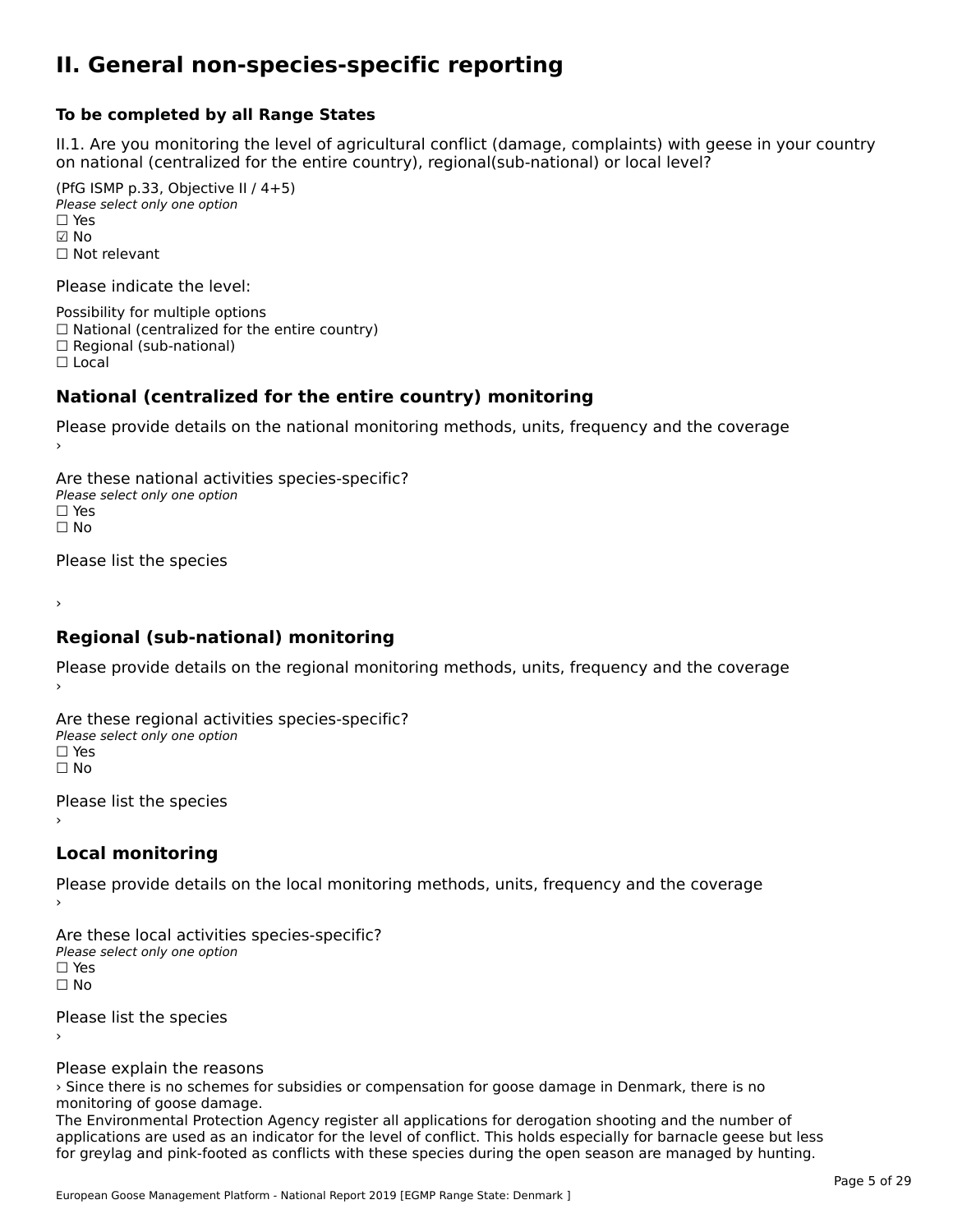### **II. General non-species-specific reporting**

#### **To be completed by all Range States**

II.1. Are you monitoring the level of agricultural conflict (damage, complaints) with geese in your country n.i. Are you monitoring the lever or agricultural connict (damage, complaints) with g<br>on national (centralized for the entire country), regional(sub-national) or local level?

(PfG ISMP p.33, Objective II  $(4+5)$ ) ∪ is in p.55, objective<br>Please select only one option ☑ No☐ Not relevant

Please indicate the level:

Possibility for multiple options  $\Box$  National (centralized for the entire country)  $\Box$  Regional (sub-national)

☐ Local

#### **National (centralized for the entire country) monitoring**

Please provide details on the national monitoring methods, units, frequency and the coverage

Are these national activities species-specific? Please select only one optionPlease select only one option<br>□ Yes ים וכ<br>⊡ No

Please list the species

›

#### **Regional (sub-national) monitoring**

Please provide details on the regional monitoring methods, units, frequency and the coverage

Are these regional activities species-specific? ∩ne these regional activ<br>Please select only one option □ Yes<br>□ No

Please list the species ›

#### **Local monitoring**

Please provide details on the local monitoring methods, units, frequency and the coverage

Are these local activities species-specific? Please select only one optionriease<br>□ Yes □ Yes<br>□ No

Please list the species ›

Please explain the reasons

rease explain the reasons<br>> Since there is no schemes for subsidies or compensation for goose damage in Denmark, there is no monitoring of goose damage.

The Environmental Protection Agency register all applications for derogation shooting and the number of applications are used as an indicator for the level of conflict. This holds especially for barnacle geese but less applications are used as an indicator for the level of commet. This holds especially for barnacle geese but les<br>for greylag and pink-footed as conflicts with these species during the open season are managed by hunting.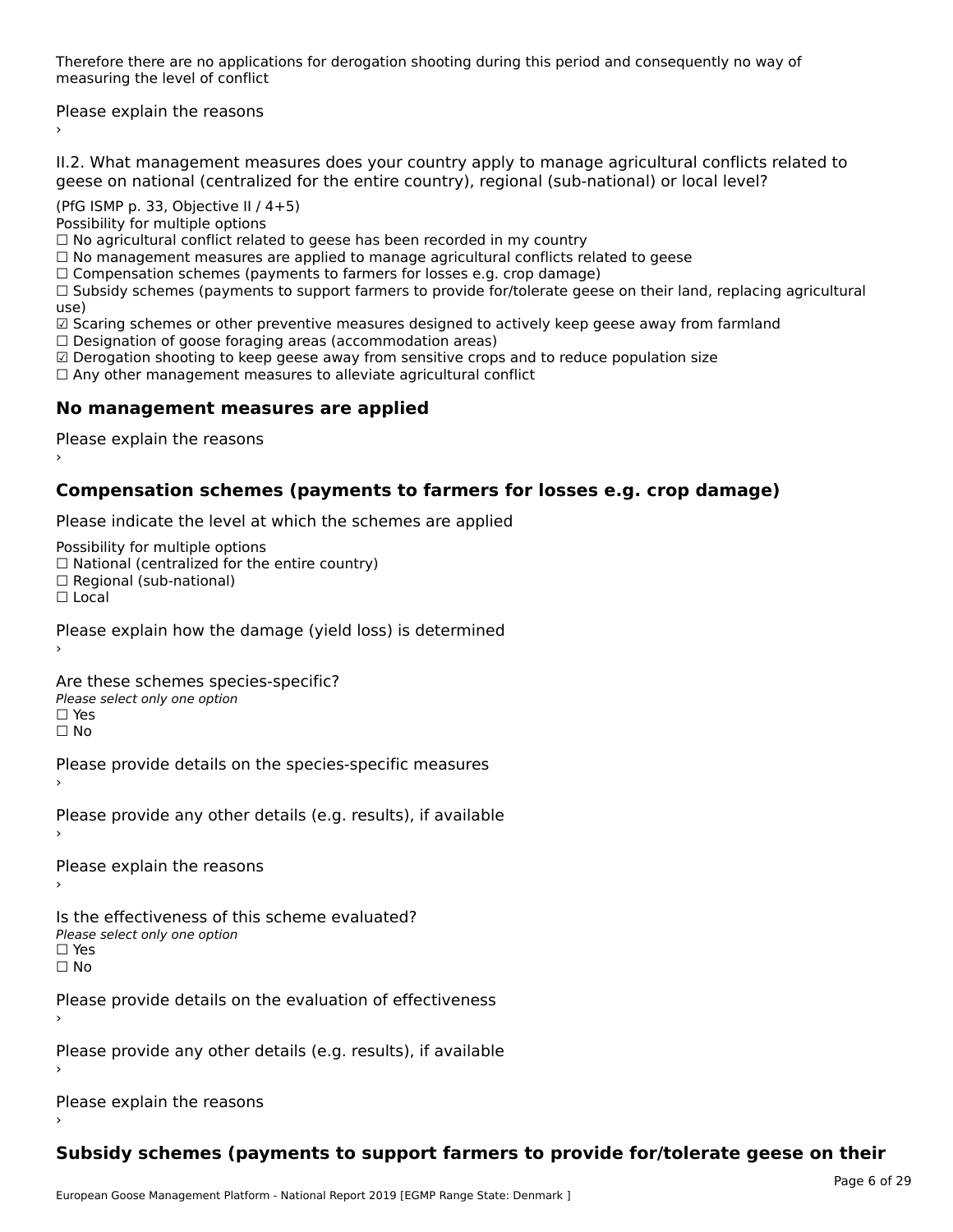Therefore there are no applications for derogation shooting during this period and consequently no way of merefore there are no application.

Please explain the reasons ›

II.2. What management measures does your country apply to manage agricultural conflicts related to

(PfG ISMP p. 33, Objective II / 4+5)

Possibility for multiple options

rossibility for multiple options<br>□ No agricultural conflict related to geese has been recorded in my country  $\Box$  No manufactural conflict measures are applied to measure and  $\ddot{\rm u}$  measures related to general conflicts related to general conflicts related to general conflicts related to general confliction of  $\ddot{\rm u}$ 

 $\Box$  Comparation schemes (payments to farmers to farmers for local dependences in  $\Box$ 

 $\Box$  Compensation schemes (payments to farmers for losses e.g. crop damage)

 $\Box$  Compensation schemes (payments to farmers for losses e.g. crop damage)<br> $\Box$  Subsidy schemes (payments to support farmers to provide for/tolerate geese on their land, replacing agricultural use)<br>☑ Scaring schemes or other preventive measures designed to actively keep geese away from farmland

⊠ Scaring scrientes of other preventive measures designed to a<br>□ Designation of goose foraging areas (accommodation areas)

☑ Derogation shooting to keep geese away from sensitive crops and to reduce population size

⊠ Derogation shooting to keep geese away nom sensitive crops and<br>□ Any other management measures to alleviate agricultural conflict

## **No management measures are applied**

Please explain the reasons ›

## **Compensation schemes (payments to farmers for losses e.g. crop damage)**

Please indicate the level at which the schemes are applied

Possibility for multiple options

rossibility for multiple options<br>□ National (centralized for the entire country)

□ National (centralized io<br>□ Regional (sub-national)

☐ Local

Please explain how the damage (yield loss) is determined

Are these schemes species-specific?∩ne these senemes spee<br>Please select only one option

□ Yes<br>□ No

Please provide details on the species-specific measures

Please provide any other details (e.g. results), if available

Please explain the reasons

Is the effectiveness of this scheme evaluated? Please select only one option

☐ Yes☐ No

Please provide details on the evaluation of effectiveness

Please provide any other details (e.g. results), if available

Please explain the reasons

# **Subsidy schemes (payments to support farmers to provide for/tolerate geese on their**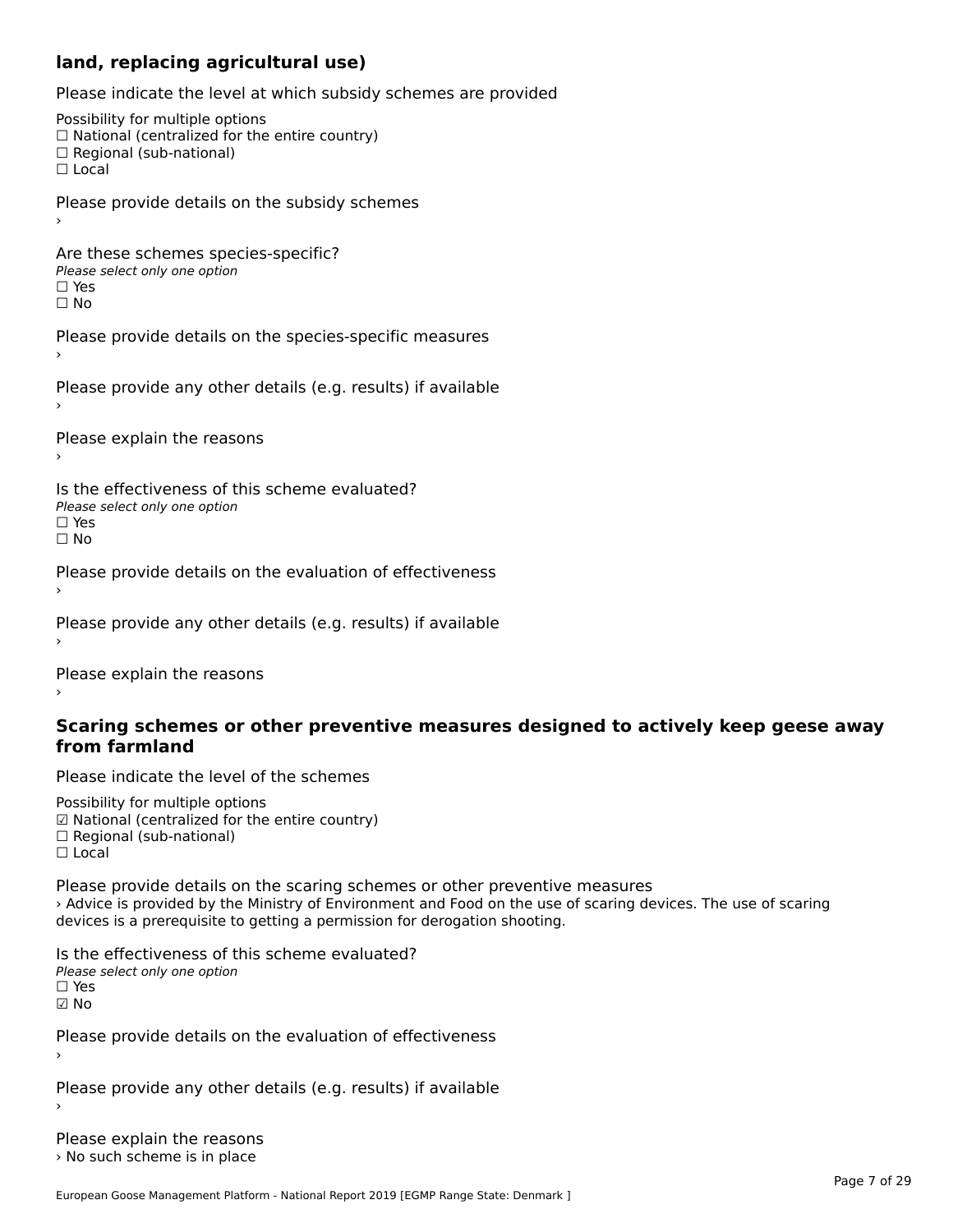#### **land, replacing agricultural use)**

Please indicate the level at which subsidy schemes are provided

Possibility for multiple options ™assibility for multiple options<br>□ National (centralized for the entire country) □ National (centralized io<br>□ Regional (sub-national)  $\Box$  Local Please provide details on the subsidy schemes Are these schemes species-specific?∩ne these senemes spe<br>Please select only one option □ Yes<br>□ No Please provide details on the species-specific measures Please provide any other details (e.g. results) if available Please explain the reasons Is the effectiveness of this scheme evaluated?Please select only one option ☐ Yes☐ NoPlease provide details on the evaluation of effectiveness Please provide any other details (e.g. results) if available

Please explain the reasons

#### **Scaring schemes or other preventive measures designed to actively keep geese away from farmland**

Please indicate the level of the schemes

Possibility for multiple options гозыянку тог mattiple options<br>☑ National (centralized for the entire country)  $\Box$  Regional (sub-national) ☐ Local

Please provide details on the scaring schemes or other preventive measures › Advice is provided by the Ministry of Environment and Food on the use of scaring devices. The use of scaring devices is a prerequisite to getting a permission for derogation shooting.

Is the effectiveness of this scheme evaluated?Please select only one option☐ Yes☑ No

Please provide details on the evaluation of effectiveness

Please provide any other details (e.g. results) if available

Please explain the reasons › No such scheme is in place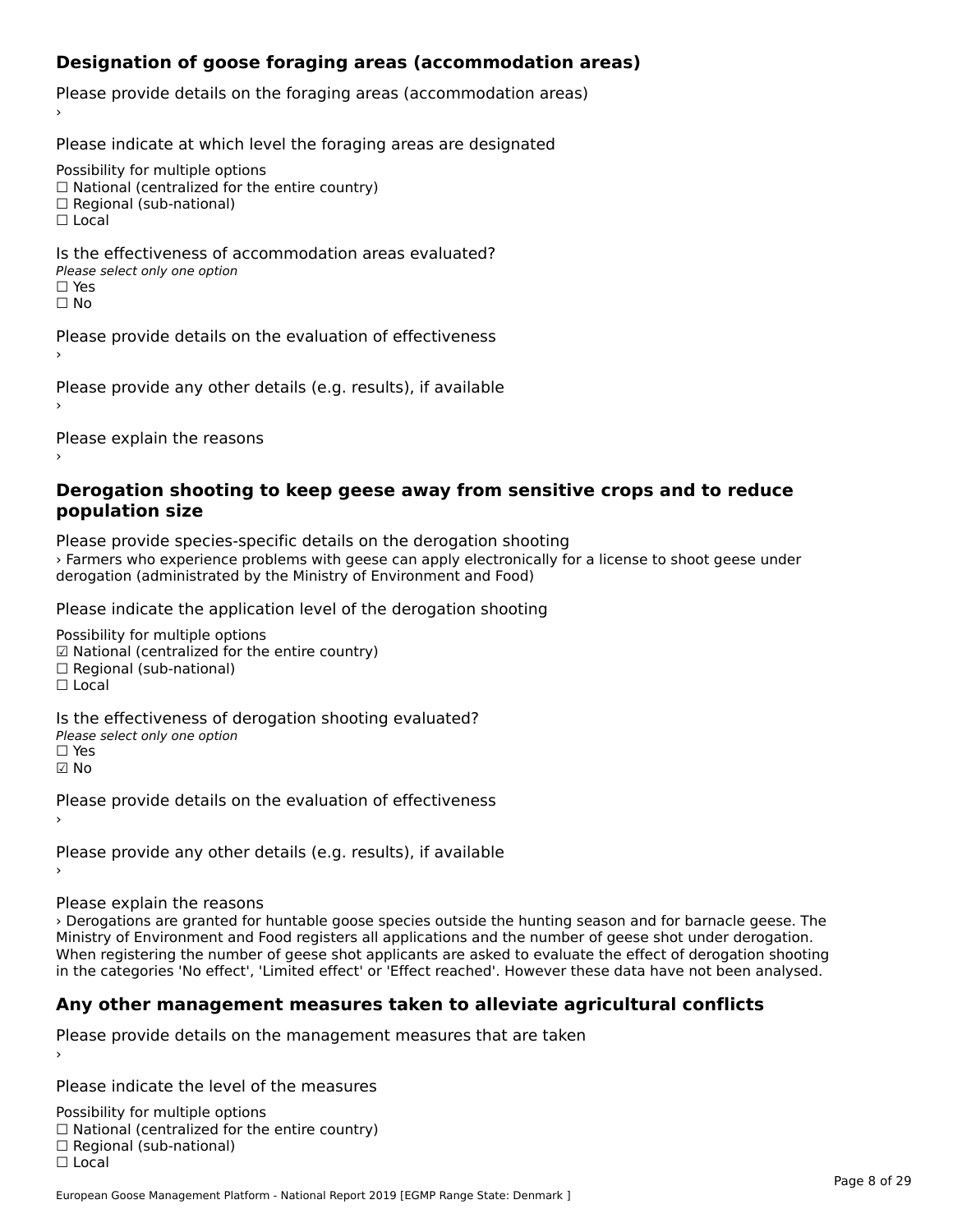## **Designation of goose foraging areas (accommodation areas)**

Please provide details on the foraging areas (accommodation areas)

Please indicate at which level the foraging areas are designated

Possibility for multiple options

rossibility for multiple options<br>□ National (centralized for the entire country)

□ National (centralized io<br>□ Regional (sub-national)

☐ Local

#### Is the effectiveness of accommodation areas evaluated?□ CILCCCCVCIC55 OF 0<br>Please select only one option □ Yes<br>□ No

Please provide details on the evaluation of effectiveness›

Please provide any other details (e.g. results), if available

Please explain the reasons

#### **Derogation shooting to keep geese away from sensitive crops and to reduce population size**

Please provide species-specific details on the derogation shooting › Farmers who experience problems with geese can apply electronically for a license to shoot geese under derogation (administrated by the Ministry of Environment and Food)

Please indicate the application level of the derogation shooting

Possibility for multiple options rossibility for multiple options<br>☑ National (centralized for the entire country) ⊠ National (centranzed io<br>□ Regional (sub-national)

☐ Local

Is the effectiveness of derogation shooting evaluated?

Please select only one option

☐ Yes

☑ No

Please provide details on the evaluation of effectiveness

Please provide any other details (e.g. results), if available

Please explain the reasons

› Derogations are granted for huntable goose species outside the hunting season and for barnacle geese. The Ministry of Environment and Food registers all applications and the number of geese shot under derogation. winistry of Environment and Food registers an applications and the number or geese shot under derogation.<br>When registering the number of geese shot applicants are asked to evaluate the effect of derogation shooting in the categories 'No effect', 'Limited effect' or 'Effect reached'. However these data have not been analysed.

# **Any other management measures taken to alleviate agricultural conflicts**

Please provide details on the management measures that are taken

Please indicate the level of the measures

Possibility for multiple options rossibility for multiple options<br>□ National (centralized for the entire country) □ National (centralized io<br>□ Regional (sub-national) ☐ Local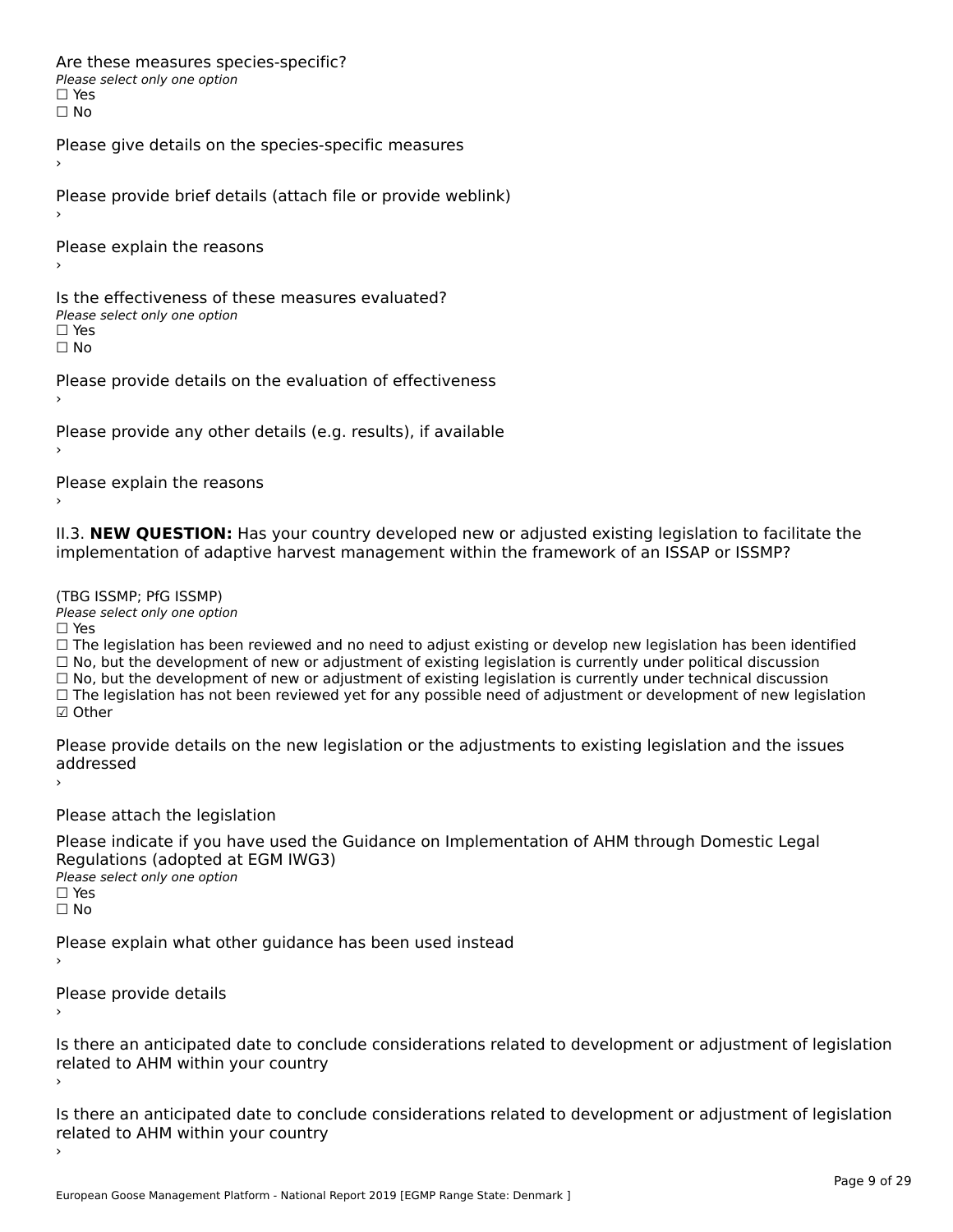Are these measures species-specific?∩ne enese measures spe<br>Please select only one option □ Yes<br>□ No

Please give details on the species-specific measures

Please provide brief details (attach file or provide weblink)

Please explain the reasons›

Is the effectiveness of these measures evaluated?□ CITC CITCCLIVERESS OF C<br>Please select only one option □ Yes<br>□ No

Please provide details on the evaluation of effectiveness

Please provide any other details (e.g. results), if available

Please explain the reasons

II.3. **NEW QUESTION:** Has your country developed new or adjusted existing legislation to facilitate the implementation of adaptive harvest management within the framework of an ISSAP or ISSMP?

(TBG ISSMP; PfG ISSMP)

Please select only one option ☐ Yes

□ Yes<br>□ The legislation has been reviewed and no need to adjust existing or develop new legislation has been identified  $\Box$  The regislation has been reviewed and no need to adjust existing or develop hew regislation has been identify and  $\Box$  No, but the development of new or adjustment of existing legislation is currently under political □ No, but the development of new or adjustment of existing legislation is currently under political discussion<br>□ No, but the development of new or adjustment of existing legislation is currently under technical discussion ☐ The legislation has not been reviewed yet for any possible need of adjustment or development of new legislation

☑ Other

Please provide details on the new legislation or the adjustments to existing legislation and the issues uuurcoscu

Please attach the legislation

Please indicate if you have used the Guidance on Implementation of AHM through Domestic Legal Piease indicate if you have used the<br>Regulations (adopted at EGM IWG3) Please select only one option ☐ Yes☐ No

Please explain what other guidance has been used instead

Please provide details

Is there an anticipated date to conclude considerations related to development or adjustment of legislation related to AHM within your country

Is there an anticipated date to conclude considerations related to development or adjustment of legislation related to Arm within your country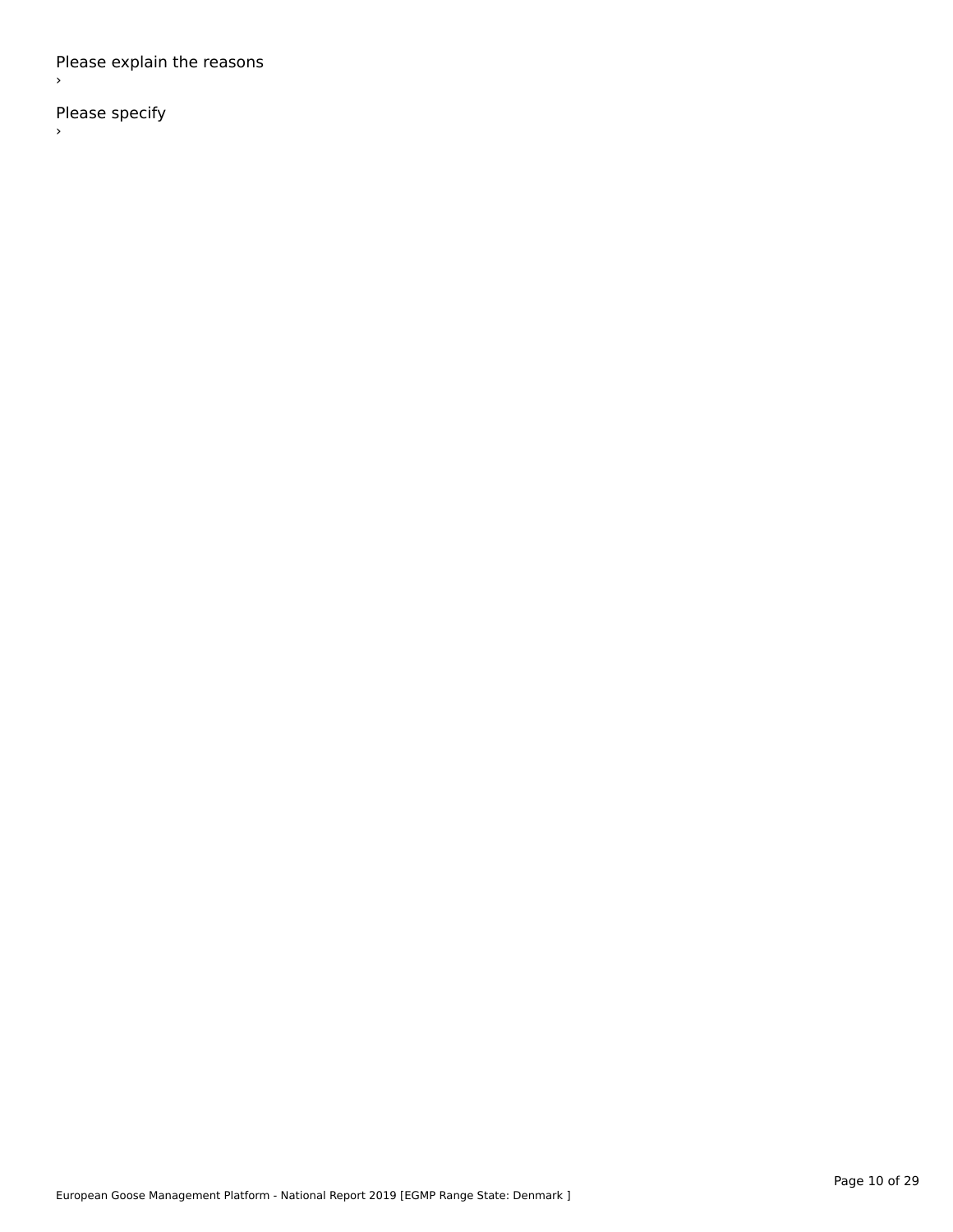Please explain the reasons ›

Please specify  $\rightarrow$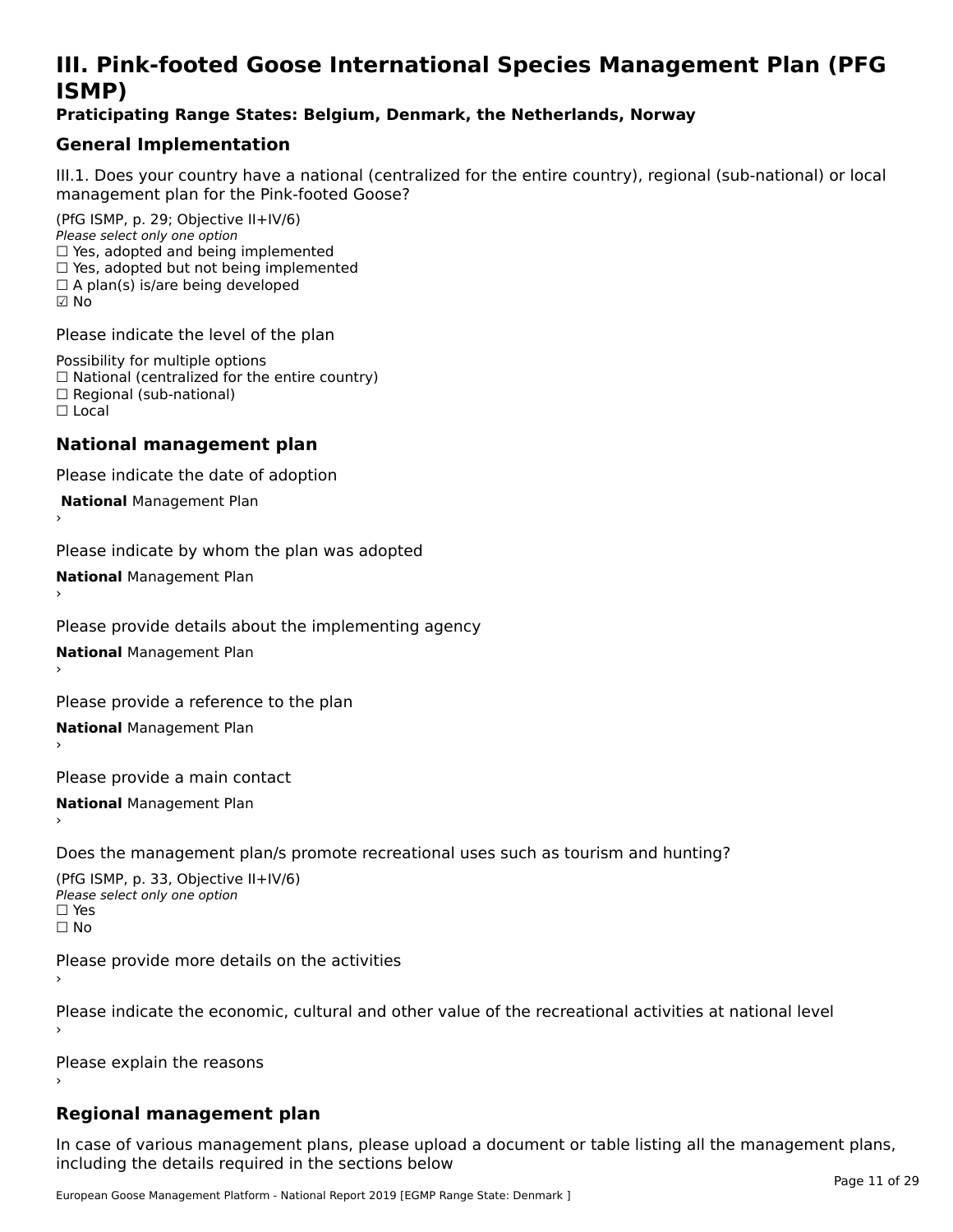# **III. Pink-footed Goose International Species Management Plan (PFG**III. FIIIN-IUULEU GUUSE IIILEI II**atiunai Species Management Fian (FTG**<br>ISMD)

### **Praticipating Range States: Belgium, Denmark, the Netherlands, Norway**

## **General Implementation**

III.1. Does your country have a national (centralized for the entire country), regional (sub-national) or local

(PfG ISMP, p. 29; Objective II+IV/6) Please select only one option *Please select only one option*<br>□ Yes, adopted and being implemented  $\Box$  res, adopted and being implemented<br> $\Box$  Yes, adopted but not being implemented  $\Box$  A plan(s) is/are being developed ☑ No

Please indicate the level of the plan

Possibility for multiple options rossibility for multiple options<br>□ National (centralized for the entire country) □ National (centralized io<br>□ Regional (sub-national) ☐ Local

#### **National management plan**

Please indicate the date of adoption

 **National** Management Plan

›

Please indicate by whom the plan was adopted

**National** Management Plan ›

Please provide details about the implementing agency

**National** Management Plan ›

Please provide a reference to the plan

**National** Management Plan ›

Please provide a main contact

**National** Management Plan ›

Does the management plan/s promote recreational uses such as tourism and hunting?

(PfG ISMP, p. 33, Objective II+IV/6) Please select only one optionPlease select only one option  $\square$  Yes ☐ No

Please provide more details on the activities

Please indicate the economic, cultural and other value of the recreational activities at national level

Please explain the reasons

### **Regional management plan**

In case of various management plans, please upload a document or table listing all the management plans,in case or various management plans, please uploa<br>in the direct below the its required in the sections below including the details required in the sections below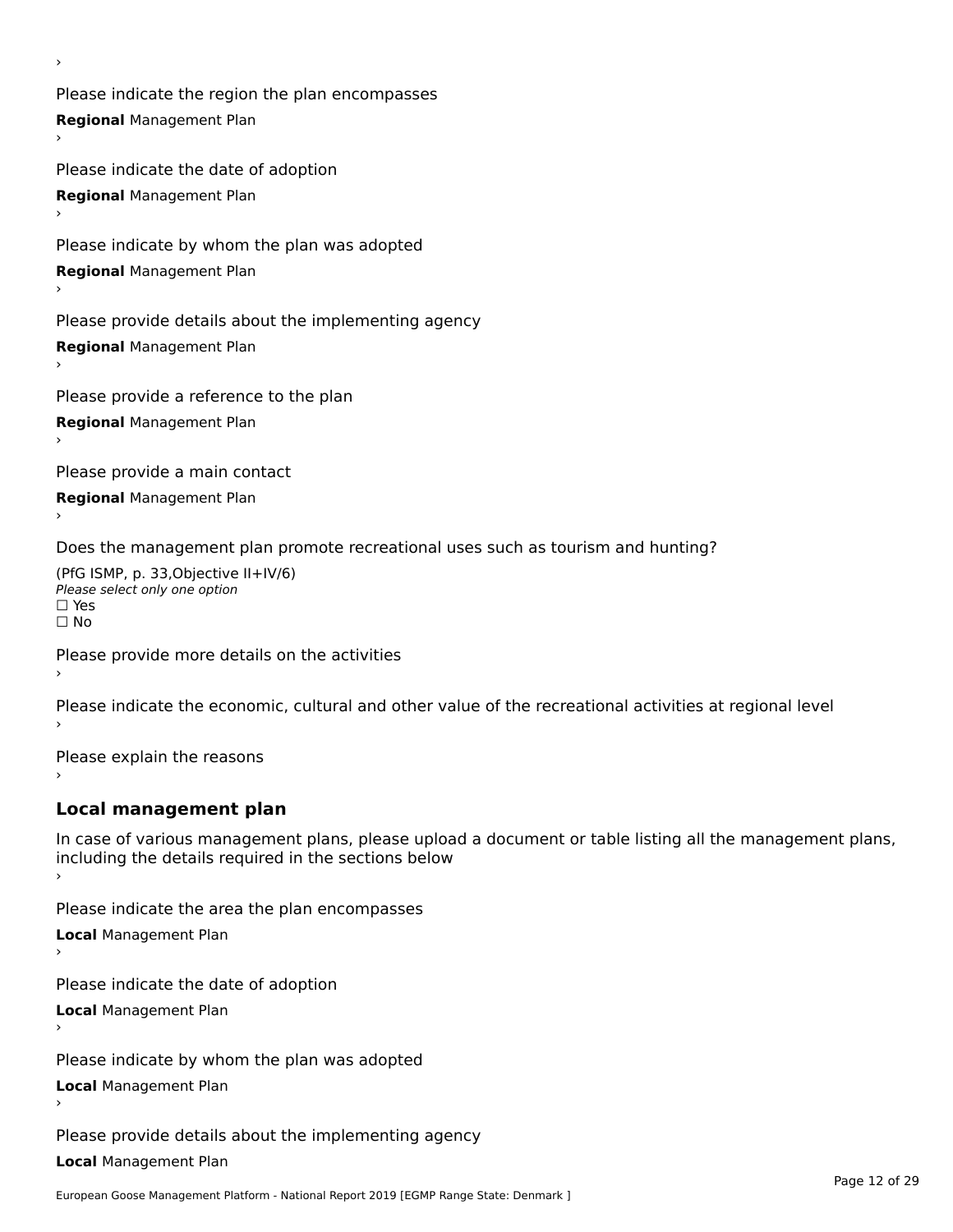Please indicate the region the plan encompasses **Regional** Management Plan

Please indicate the date of adoption **Regional** Management Plan ›

Please indicate by whom the plan was adopted

**Regional** Management Plan

›

Please provide details about the implementing agency

**Regional** Management Plan

Please provide a reference to the plan

**Regional** Management Plan

Please provide a main contact

**Regional** Management Plan

Does the management plan promote recreational uses such as tourism and hunting?

(PfG ISMP, p. 33,Objective II+IV/6) ∩∩ וויוכו פון<br>Please select only one option<br>□ Yes □ Yes<br>□ No

Please provide more details on the activities

Please indicate the economic, cultural and other value of the recreational activities at regional level

Please explain the reasons ›

## **Local management plan**

In case of various management plans, please upload a document or table listing all the management plans, In case of various management plans, please uploa<br>including the details required in the sections below

Please indicate the area the plan encompasses

**Local** Management Plan

Please indicate the date of adoption

**Local** Management Plan›

Please indicate by whom the plan was adopted

**Local** Management Plan

Please provide details about the implementing agency

**Local** Management Plan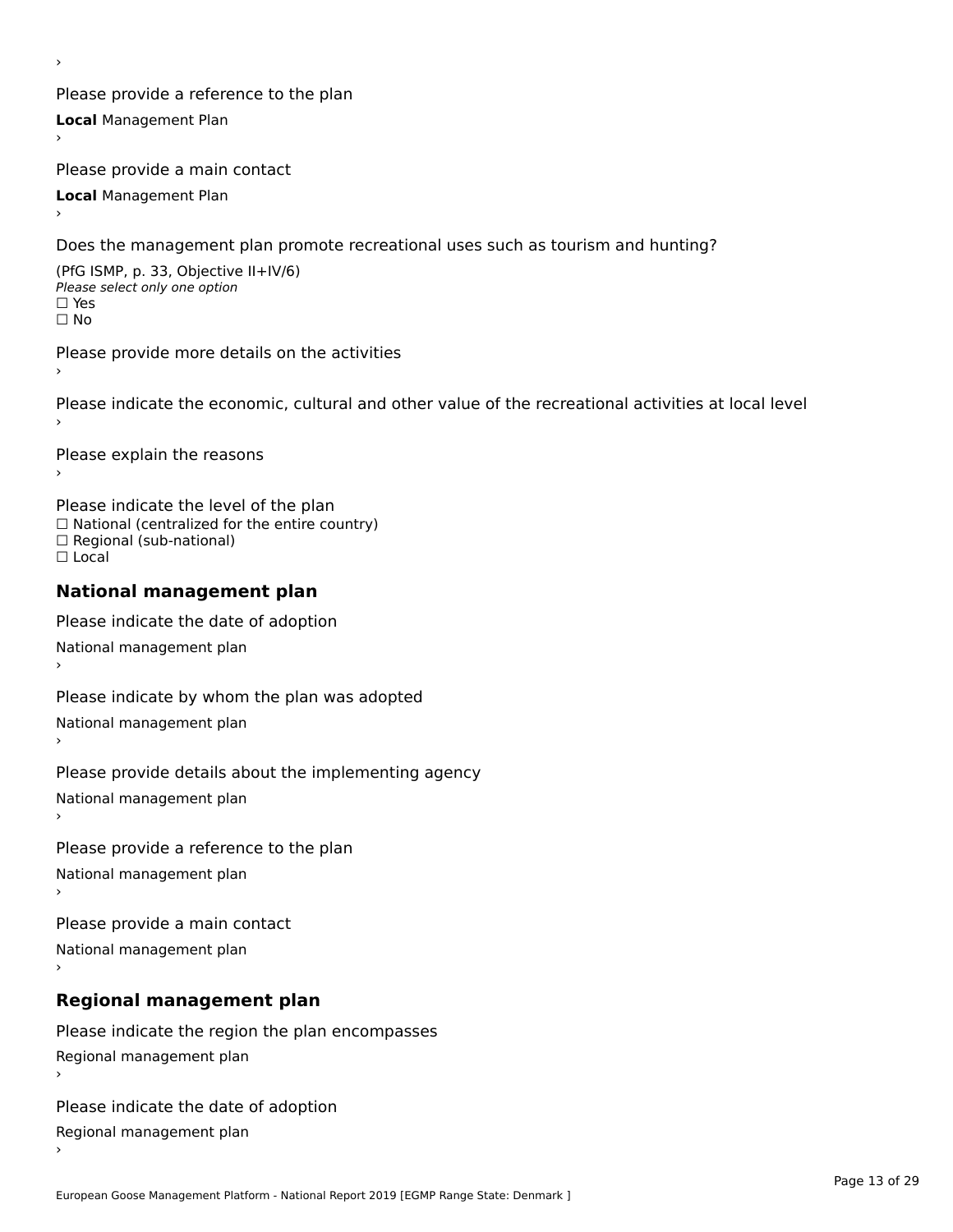Please provide a reference to the plan **Local** Management Plan

Please provide a main contact

**Local** Management Plan

›

Does the management plan promote recreational uses such as tourism and hunting?

(PfG ISMP, p. 33, Objective II+IV/6) Please select only one option☐ Yes☐ No

Please provide more details on the activities

Please indicate the economic, cultural and other value of the recreational activities at local level

Please explain the reasons ›

Please indicate the level of the plan ∩ease marcate the lever of the plan<br>□ National (centralized for the entire country) □ National (centralized io<br>□ Regional (sub-national) ☐ Local

#### **National management plan**

Please indicate the date of adoption National management plan

Please indicate by whom the plan was adopted National management plan ›

Please provide details about the implementing agency

National management plan

Please provide a reference to the plan

National management plan

Please provide a main contact

National management plan

# **Regional management plan**

Please indicate the region the plan encompasses Regional management plan

Please indicate the date of adoption

Regional management plan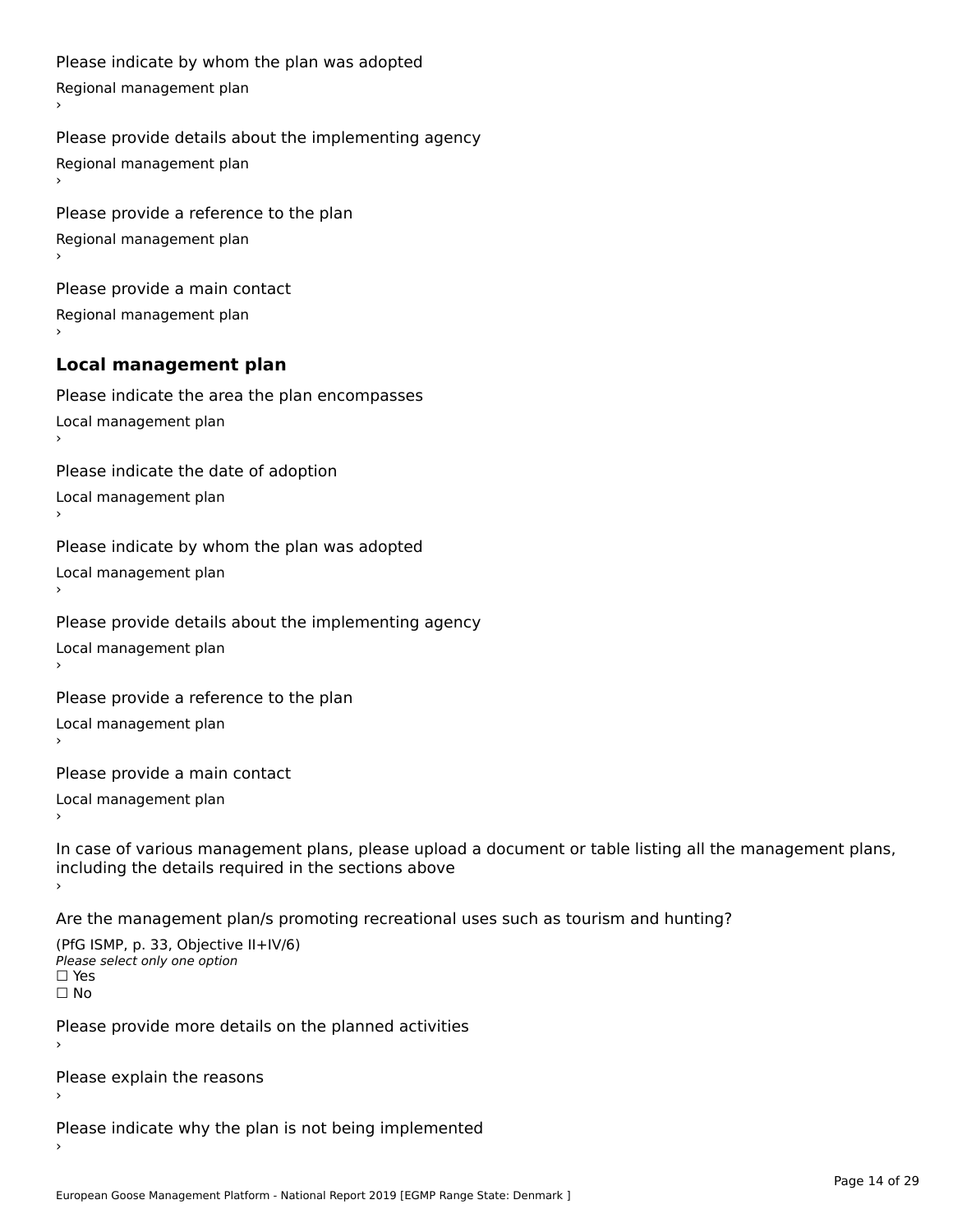```
Please indicate by whom the plan was adopted Regional management plan
Please provide details about the implementing agency Regional management plan
Please provide a reference to the plan Regional management plan
Please provide a main contact Regional management plan
Local management plan
Please indicate the area the plan encompasses Local management plan›Please indicate the date of adoption Local management planا<br>ا
Please indicate by whom the plan was adopted Local management plan›Please provide details about the implementing agency Local management planا<br>ا
Please provide a reference to the plan Local management plan›Please provide a main contact Local management planا<br>ا
In case of various management plans, please upload a document or table listing all the management plans,in case or various management plans, please upload
including the details required in the sections above
Are the management plan/s promoting recreational uses such as tourism and hunting?
```

```
(PfG ISMP, p. 33, Objective II+IV/6)
Please select only one option☐ Yes☐ No
```
Please provide more details on the planned activities

Please explain the reasons›

Please indicate why the plan is not being implemented›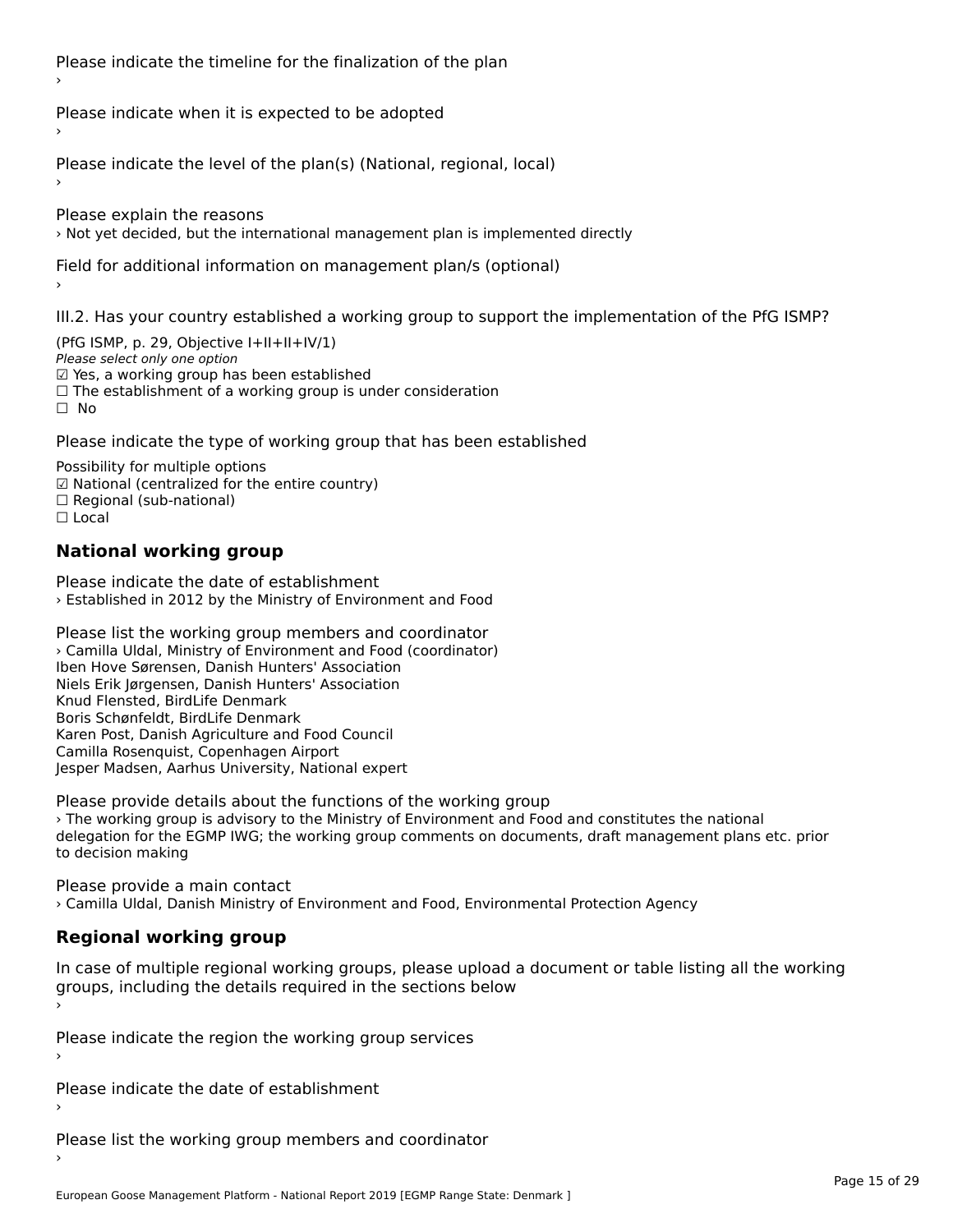Please indicate the timeline for the finalization of the plan

Please indicate when it is expected to be adopted

Please indicate the level of the plan(s) (National, regional, local)

Please explain the reasons › Not yet decided, but the international management plan is implemented directly

Field for additional information on management plan/s (optional)

III.2. Has your country established a working group to support the implementation of the PfG ISMP?

(PfG ISMP, p. 29, Objective  $I+II+II+IV/1$ ) Please select only one option *riease select omy one option*<br>☑ Yes, a working group has been established □ Tes, a working group has been established<br>□ The establishment of a working group is under consideration

Please indicate the type of working group that has been established

Possibility for multiple options гозымнутог mattiple options<br>☑ National (centralized for the entire country)  $\Box$  Regional (sub-national)  $\Box$  Local

## **National working group**

Please indicate the date of establishment › Established in 2012 by the Ministry of Environment and Food

Please list the working group members and coordinator › Camilla Uldal, Ministry of Environment and Food (coordinator) Iben Hove Sørensen, Danish Hunters' Association Niels Erik Jørgensen, Danish Hunters' Association Knud Flensted, BirdLife Denmark Rhud Flensted, BirdLife Denmark<br>Boris Schønfeldt, BirdLife Denmark Karen Post, Danish Agriculture and Food Council Camilla Rosenquist, Copenhagen Airport Carnina Rosenquist, Copermagen Airport<br>Jesper Madsen, Aarhus University, National expert

Please provide details about the functions of the working group › The working group is advisory to the Ministry of Environment and Food and constitutes the national The working group is advisory to the ministry of Environment and 1000 and constitutes the national<br>delegation for the EGMP IWG; the working group comments on documents, draft management plans etc. prior to decision making

Please provide a main contact › Camilla Uldal, Danish Ministry of Environment and Food, Environmental Protection Agency

# **Regional working group**

In case of multiple regional working groups, please upload a document or table listing all the working groups, including the actums required in the sections below

Please indicate the region the working group services ›

Please indicate the date of establishment ›

Please list the working group members and coordinator ›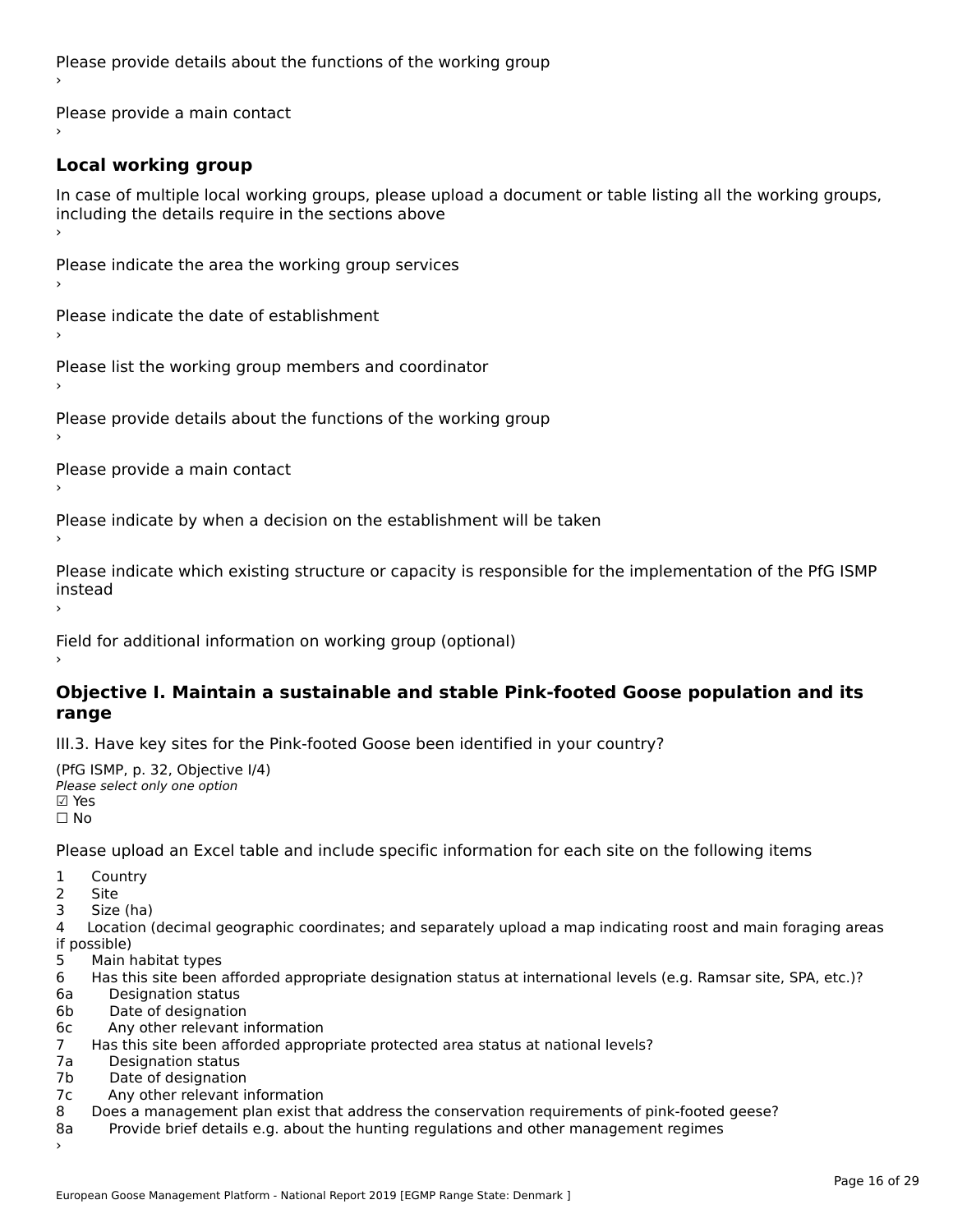Please provide details about the functions of the working group ›

Please provide a main contact ›

# **Local working group**

In case of multiple local working groups, please upload a document or table listing all the working groups, in case of multiple local working groups, please up ›

Please indicate the area the working group services ›

Please indicate the date of establishment ›

Please list the working group members and coordinator ›

Please provide details about the functions of the working group ›

Please provide a main contact ›

Please indicate by when a decision on the establishment will be taken

Please indicate which existing structure or capacity is responsible for the implementation of the PfG ISMP instead

Field for additional information on working group (optional)

#### **Objective I. Maintain a sustainable and stable Pink-footed Goose population and its range**range

III.3. Have key sites for the Pink-footed Goose been identified in your country?

```
(PfG ISMP, p. 32, Objective I/4)
יייכו סיווי, p: אב, Objective<br>Please select only one option
⊠ Yes<br>□ No
```
Please upload an Excel table and include specific information for each site on the following items

1 Country

2 Site

3 Size (ha)

4 Location (decimal geographic coordinates; and separately upload a map indicating roost and main foraging areas 4 Location<br>if possible)

- 5 Main habitat types
- 6 Has this site been afforded appropriate designation status at international levels (e.g. Ramsar site, SPA, etc.)?
- 6a Designation status
- 6b Date of designation
- 6c Any other relevant information
- 7 Has this site been afforded appropriate protected area status at national levels? 7a 11as uns site been and<br>7a 11a Desimetica status
- 7a Designation status<br>7b Date of designation
- 
- 7c Any other relevant information
- 8 Does a management plan exist that address the conservation requirements of pink-footed geese? 8a Provide brief details e.g. about the hunting regulations and other management regimes
- Provide brief details e.g. about the hunting regulations and other management regimes 8a<br>>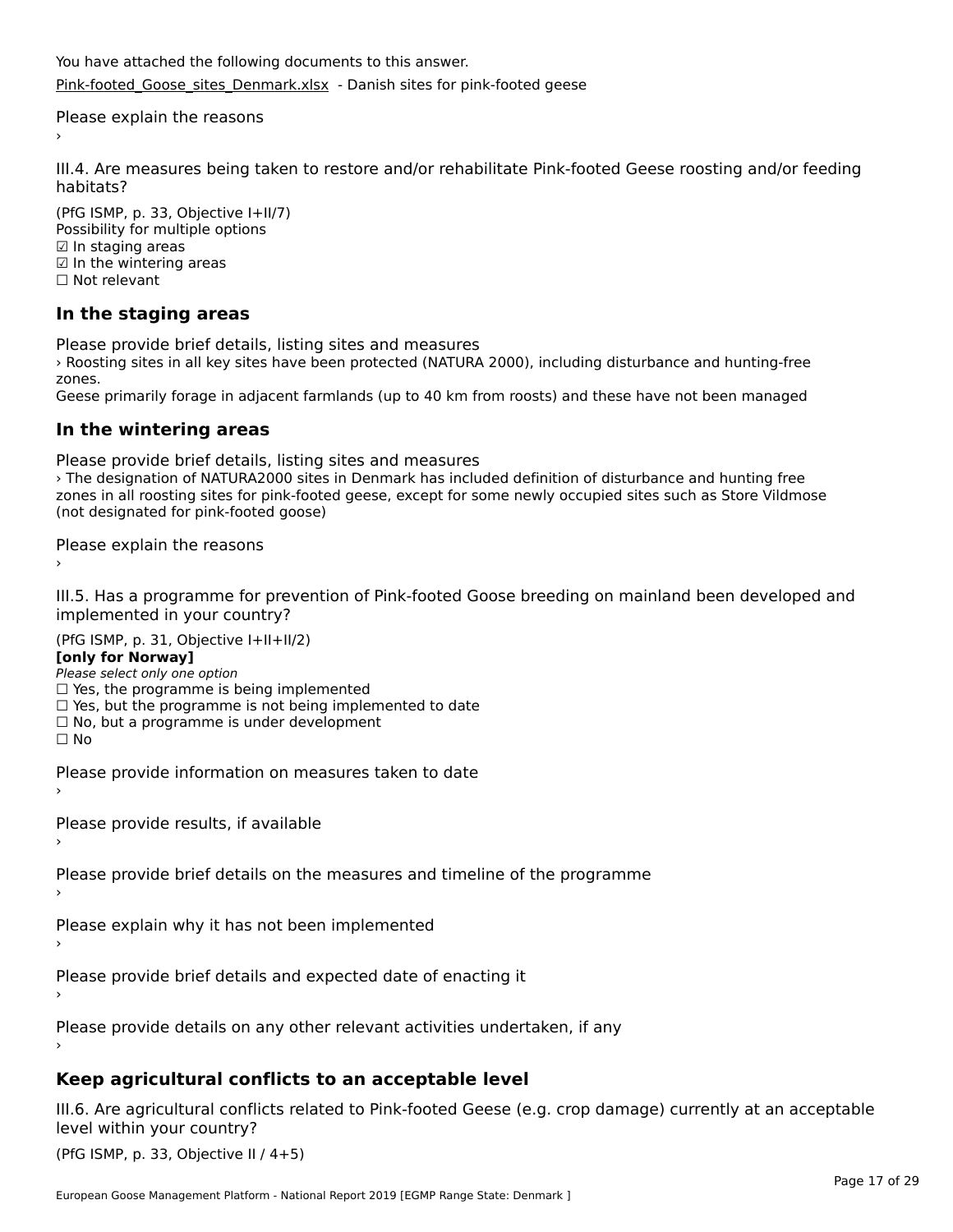You have attached the following documents to this answer. [Pink-footed\\_Goose\\_sites\\_Denmark.xlsx](http://aewa-ort.ort-production.linode.unep-wcmc.org/answers/2633391/documents/1492) - Danish sites for pink-footed geese

Please explain the reasons

III.4. Are measures being taken to restore and/or rehabilitate Pink-footed Geese roosting and/or feeding habitats?

(PfG ISMP, p. 33, Objective I+II/7) Possibility for multiple options rossiomey for mule<br>☑ In staging areas ☑ In the wintering areas☐ Not relevant

# **In the staging areas**

Please provide brief details, listing sites and measures

› Roosting sites in all key sites have been protected (NATURA 2000), including disturbance and hunting-free zones.

Geese primarily forage in adjacent farmlands (up to 40 km from roosts) and these have not been managed

#### **In the wintering areas**

Please provide brief details, listing sites and measures

riedse provide brief details, ill all roosting sites and measures<br>The designation of NATURA2000 sites in Denmark has included definition of disturbance and hunting free zones in an foosting sites for pink-footed geese, except for some newly occupied sites such as store vilumose (not designated for pink-footed goose)

Please explain the reasons

III.5. Has a programme for prevention of Pink-footed Goose breeding on mainland been developed and

(PfG ISMP, p. 31, Objective I+II+II/2)

**[only for Norway]**

**Polly for Norway,**<br>Please select only one option

riease select only one option<br>□ Yes, the programme is being implemented

- □ Tes, the programme is being implemented<br>□ Yes, but the programme is not being implemented to date
- $\Box$  ies, but the programme is not being implement  $\Box$  No, but a programme is under development

☐ No

Please provide information on measures taken to date

Please provide results, if available

Please provide brief details on the measures and timeline of the programme

Please explain why it has not been implemented

Please provide brief details and expected date of enacting it

Please provide details on any other relevant activities undertaken, if any

# **Keep agricultural conflicts to an acceptable level**

III.6. Are agricultural conflicts related to Pink-footed Geese (e.g. crop damage) currently at an acceptable

(PfG ISMP, p. 33, Objective II  $(4+5)$ )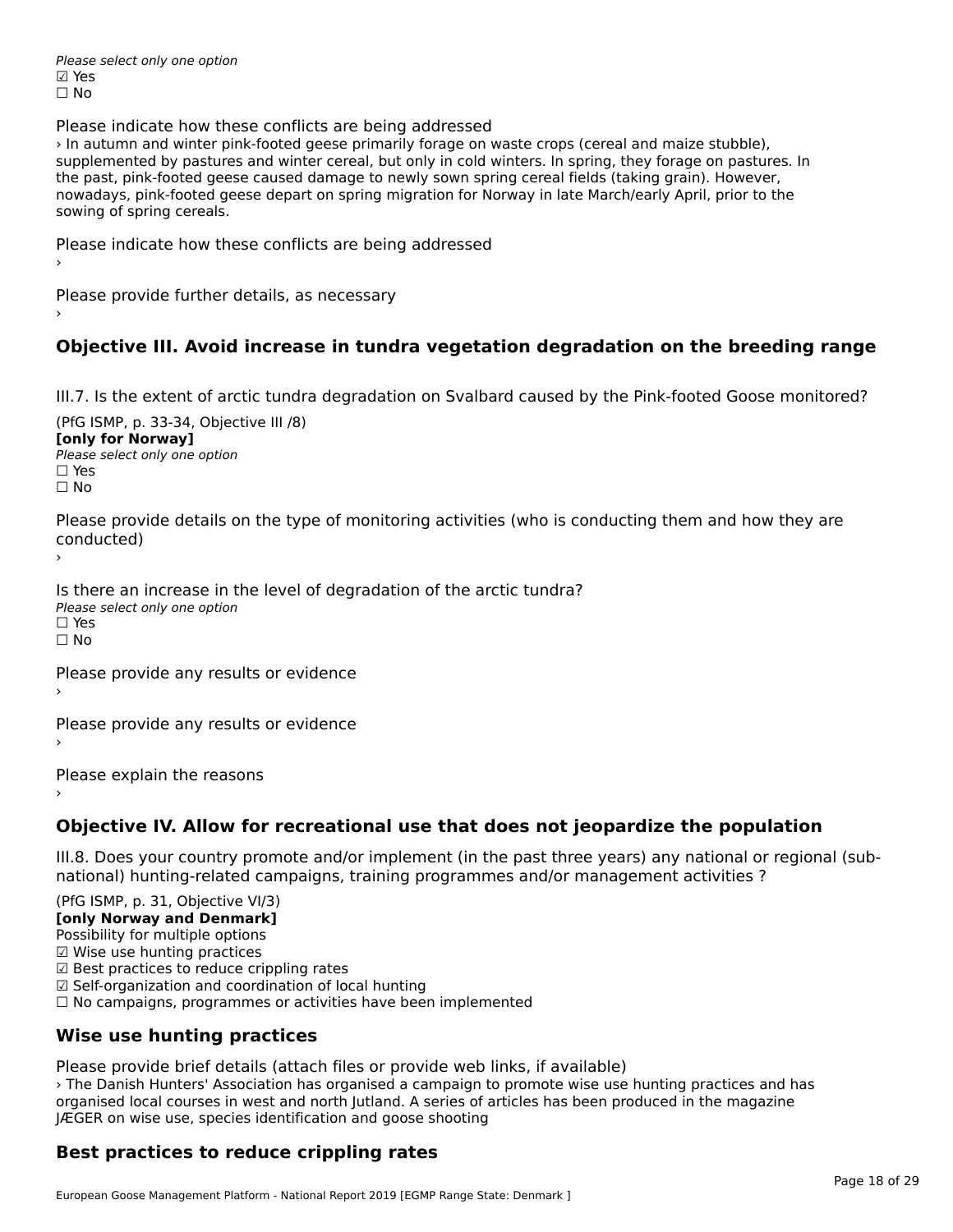Please select only one option ☑ Yes☐ No

Please indicate how these conflicts are being addressed

› In autumn and winter pink-footed geese primarily forage on waste crops (cereal and maize stubble), supplemented by pastures and winter cereal, but only in cold winters. In spring, they forage on pastures. In supplemented by pastures and winter cereal, but only in cold winters. In spring, they lorage on pasture.<br>the past, pink-footed geese caused damage to newly sown spring cereal fields (taking grain). However, the past, pink-footed geese caused damage to newly sown spring cereal helds (taking gram). However,<br>nowadays, pink-footed geese depart on spring migration for Norway in late March/early April, prior to the sowing of spring cereals.

Please indicate how these conflicts are being addressed

Please provide further details, as necessary ›

## **Objective III. Avoid increase in tundra vegetation degradation on the breeding range**

III.7. Is the extent of arctic tundra degradation on Svalbard caused by the Pink-footed Goose monitored?

(PfG ISMP, p. 33-34, Objective III /8) **[only for Norway] Please select only one option** □ Yes<br>□ No

Please provide details on the type of monitoring activities (who is conducting them and how they are riease prov ›

Is there an increase in the level of degradation of the arctic tundra? □ CitCre dir increduce in c<br>Please select only one option ים וכ<br>⊡ No

Please provide any results or evidence

Please provide any results or evidence

Please explain the reasons›

**Objective IV. Allow for recreational use that does not jeopardize the population**

III.8. Does your country promote and/or implement (in the past three years) any national or regional (sub $m.0.168$  your country promove and/or miplement (in the past time years) any national or national) hunting-related campaigns, training programmes and/or management activities ?

(PfG ISMP, p. 31, Objective VI/3)

**[only Norway and Denmark]** Possibility for multiple options

☑ Wise use hunting practices

 $\boxtimes$  Wise use hunting practices

⊠ wise use nunting practices<br>☑ Best practices to reduce crippling rates

☑ Self-organization and coordination of local hunting

⊠ Sen-organization and coordination or local nunting<br>□ No campaigns, programmes or activities have been implemented

# **Wise use hunting practices**

Please provide brief details (attach files or provide web links, if available)

› The Danish Hunters' Association has organised a campaign to promote wise use hunting practices and has The Banish Hanters Association has organised a campaign to promote wise use hunting practices and if the magazine organised local courses in west and north Jutland. A series of articles has been produced in the magazine JÆGER on wise use, species identification and goose shooting

# **Best practices to reduce crippling rates**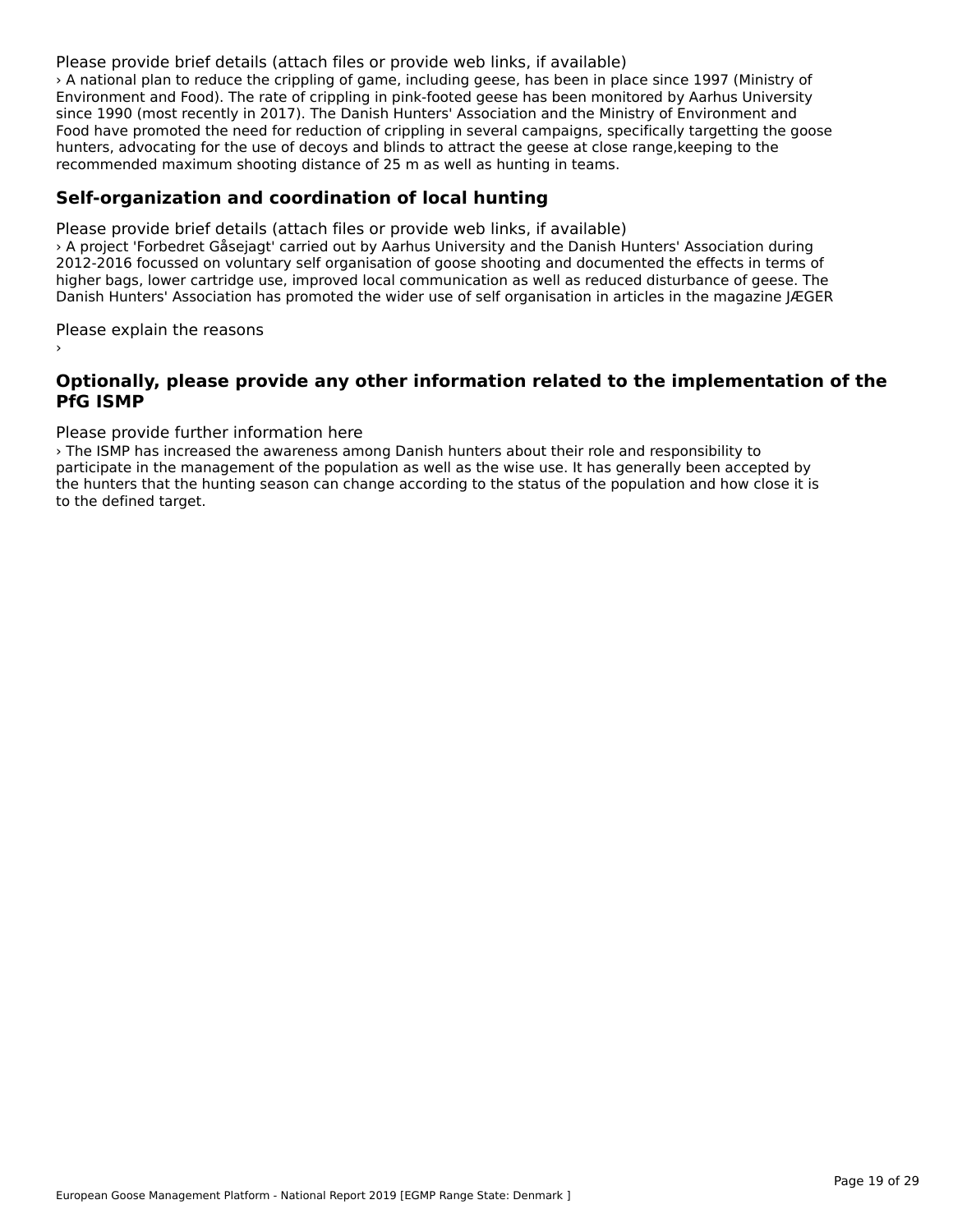#### Please provide brief details (attach files or provide web links, if available)

› A national plan to reduce the crippling of game, including geese, has been in place since 1997 (Ministry of Environment and Food). The rate of crippling in pink-footed geese has been monitored by Aarhus University since 1990 (most recently in 2017). The Danish Hunters' Association and the Ministry of Environment and since 1990 (most recently in 2017). The Damsh Hunters' Association and the Ministry of Environment and<br>Food have promoted the need for reduction of crippling in several campaigns, specifically targetting the goose rood have promoted the need for reduction of cripping in several campaigns, specifically targetting the<br>hunters, advocating for the use of decoys and blinds to attract the geese at close range,keeping to the recommended maximum shooting distance of 25 m as well as hunting in teams.

### **Self-organization and coordination of local hunting**

Please provide brief details (attach files or provide web links, if available) › A project 'Forbedret Gåsejagt' carried out by Aarhus University and the Danish Hunters' Association during 2 A project Torbeuret Gasejagt Camed out by Admus Oniversity and the Danish Hunters' Association during<br>2012-2016 focussed on voluntary self organisation of goose shooting and documented the effects in terms of higher bags, lower cartridge use, improved local communication as well as reduced disturbance of geese. The nigher bags, lower carthage use, improved local communication as well as reduced disturbance or geese. The<br>Danish Hunters' Association has promoted the wider use of self organisation in articles in the magazine JÆGER

Please explain the reasons

#### **Optionally, please provide any other information related to the implementation of the PfG ISMP**

### Please provide further information here

› The ISMP has increased the awareness among Danish hunters about their role and responsibility to participate in the management of the population as well as the wise use. It has generally been accepted by participate in the management of the population as wen as the wise use. It has generally been accepted by<br>the hunters that the hunting season can change according to the status of the population and how close it is to the defined target.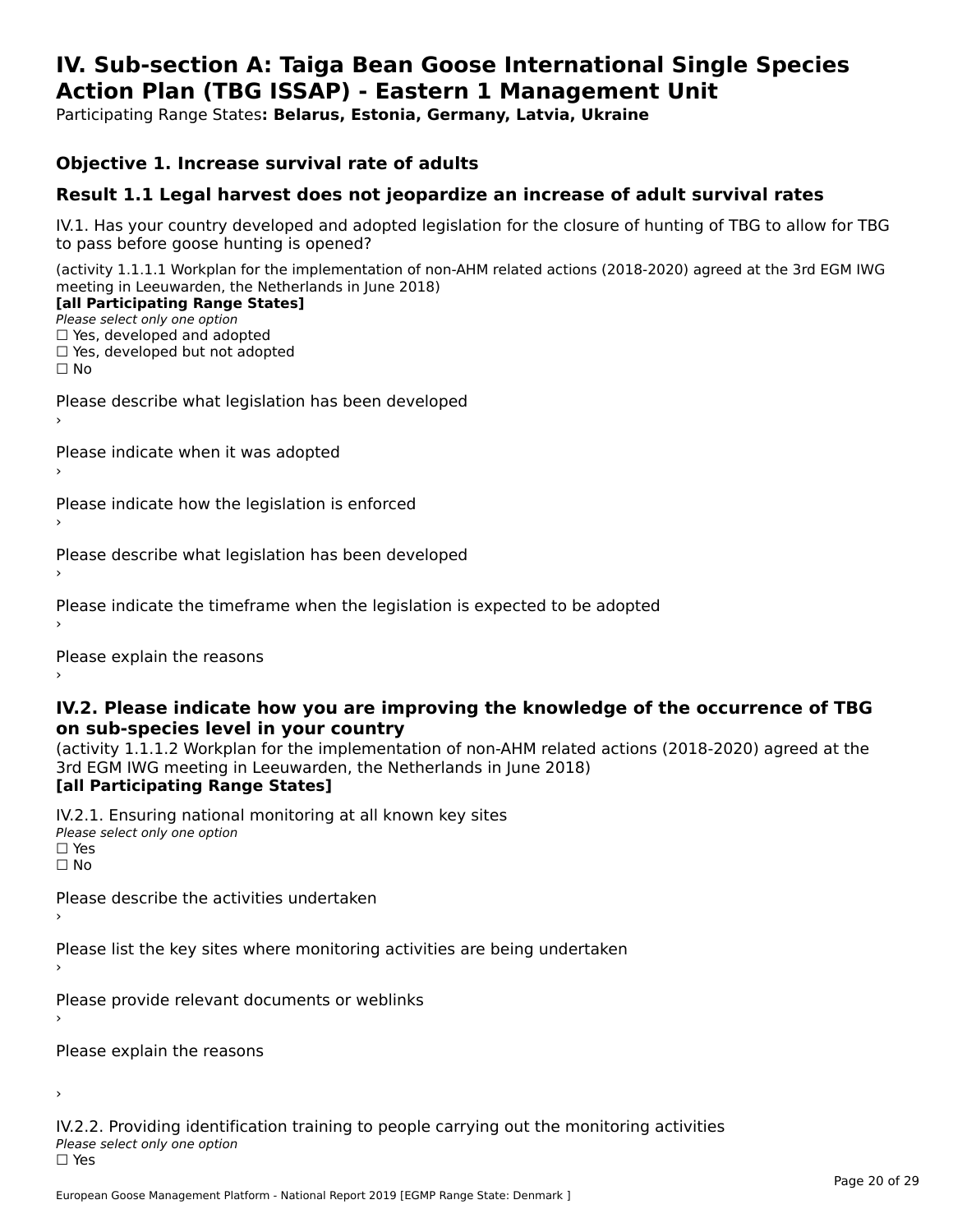#### **IV. Sub-section A: Taiga Bean Goose International Single Species Action Plan (TBG ISSAP) - Eastern 1 Management UnitAction Plan (TBG ISSAP) - Eastern 1 Management Unit**

Participating Range States**: Belarus, Estonia, Germany, Latvia, Ukraine** 

### **Objective 1. Increase survival rate of adults**

### **Result 1.1 Legal harvest does not jeopardize an increase of adult survival rates**

IV.1. Has your country developed and adopted legislation for the closure of hunting of TBG to allow for TBG IV.1. Thas your country developed and add<br>to pass before goose hunting is opened?

(activity 1.1.1.1 Workplan for the implementation of non-AHM related actions (2018-2020) agreed at the 3rd EGM IWG meeting in Leeuwarden, the Netherlands in June 2018) **[all Participating Range States]**

#### [all Participating Range States]

Please select only one option ☐ Yes, developed and adopted

☐ Yes, developed but not adopted

 $\Box$  ies, developed but not adopted

Please describe what legislation has been developed

Please indicate when it was adopted

Please indicate how the legislation is enforced

Please describe what legislation has been developed

Please indicate the timeframe when the legislation is expected to be adopted

Please explain the reasons

#### **IV.2. Please indicate how you are improving the knowledge of the occurrence of TBG on sub-species level in your country**on sub-species level in your country

on sub-species fever in your country<br>(activity 1.1.1.2 Workplan for the implementation of non-AHM related actions (2018-2020) agreed at the **Brd EGM IWG meeting in Leeuwarden, the Netherlands in June 2018)** 

#### [all Participating Range States]

IV.2.1. Ensuring national monitoring at all known key sites <del>■ Western Chroning</del> Hational<br>Please select only one option  $\square$  Yes ☐ No

Please describe the activities undertaken

Please list the key sites where monitoring activities are being undertaken

Please provide relevant documents or weblinks

Please explain the reasons

›

IV.2.2. Providing identification training to people carrying out the monitoring activities <del>■ Western Fortung</del> Recrement<br>Please select only one option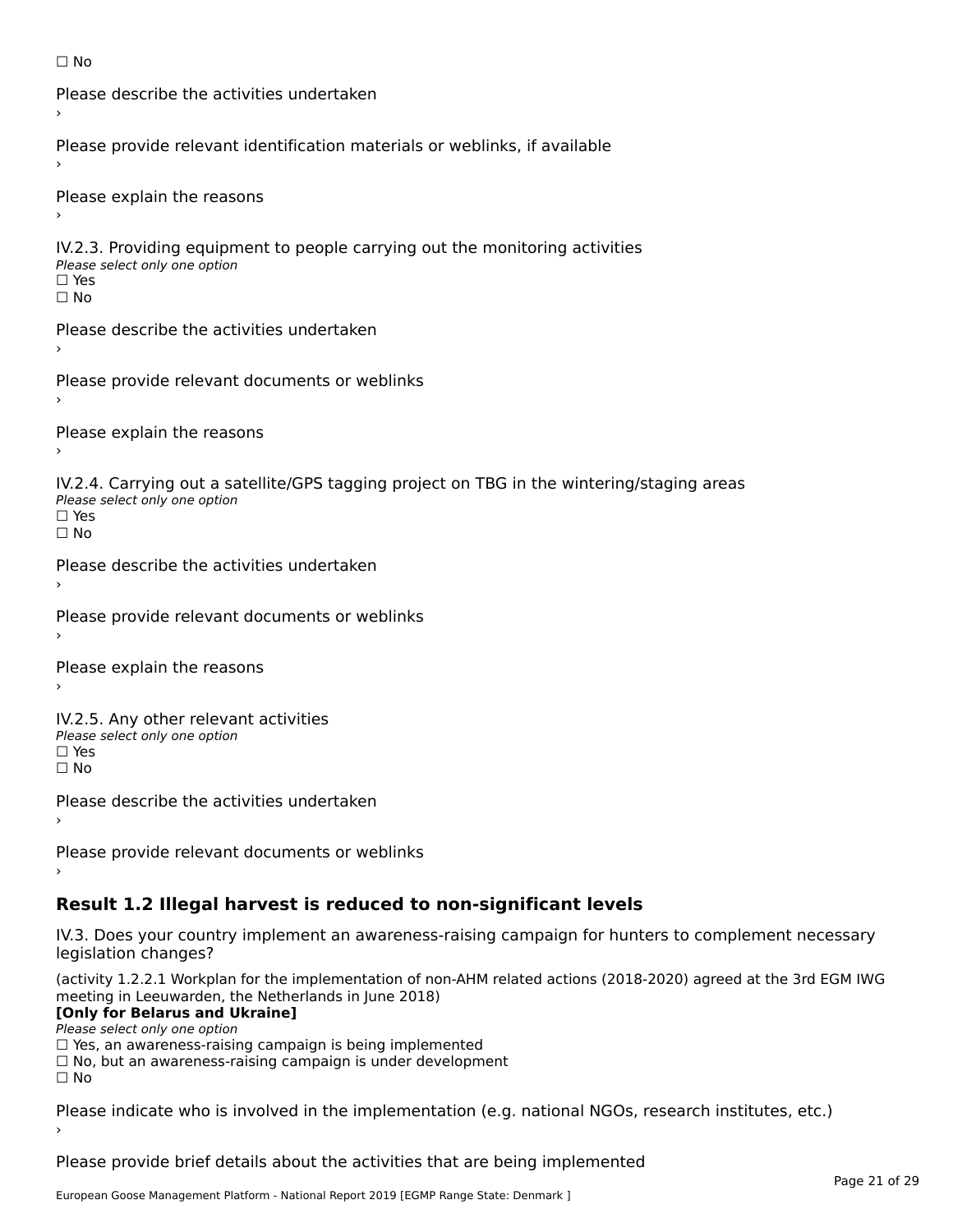```
☐ No
```

```
Please describe the activities undertaken›Please provide relevant identification materials or weblinks, if available
Please explain the reasons
IV.2.3. Providing equipment to people carrying out the monitoring activities
Please select only one option
☐ Yes□ Yes<br>□ No
Please describe the activities undertaken›Please provide relevant documents or weblinks
Please explain the reasons
IV.2.4. Carrying out a satellite/GPS tagging project on TBG in the wintering/staging areas
<del>∩</del><br>Please select only one option
□ Yes<br>□ No
Please describe the activities undertaken›Please provide relevant documents or weblinks
Please explain the reasons
IV.2.5. Any other relevant activities
Please select only one option
☐ Yes□ Yes<br>□ No
Please describe the activities undertaken›Please provide relevant documents or weblinks
Result 1.2 Illegal harvest is reduced to non-significant levels
```
IV.3. Does your country implement an awareness-raising campaign for hunters to complement necessary rv.5. Does your court<br>legislation changes?

(activity 1.2.2.1 Workplan for the implementation of non-AHM related actions (2018-2020) agreed at the 3rd EGM IWG meeting in Leeuwarden, the Netherlands in June 2018)

### **[Only for Belarus and Ukraine]**

Please select only one option

riease select only one option<br>□ Yes, an awareness-raising campaign is being implemented<br>□ Yes, an awareness-raising campaign is under development

□ No, but an awareness-raising campaign is under development<br>□ N。

Please indicate who is involved in the implementation (e.g. national NGOs, research institutes, etc.)

Please provide brief details about the activities that are being implemented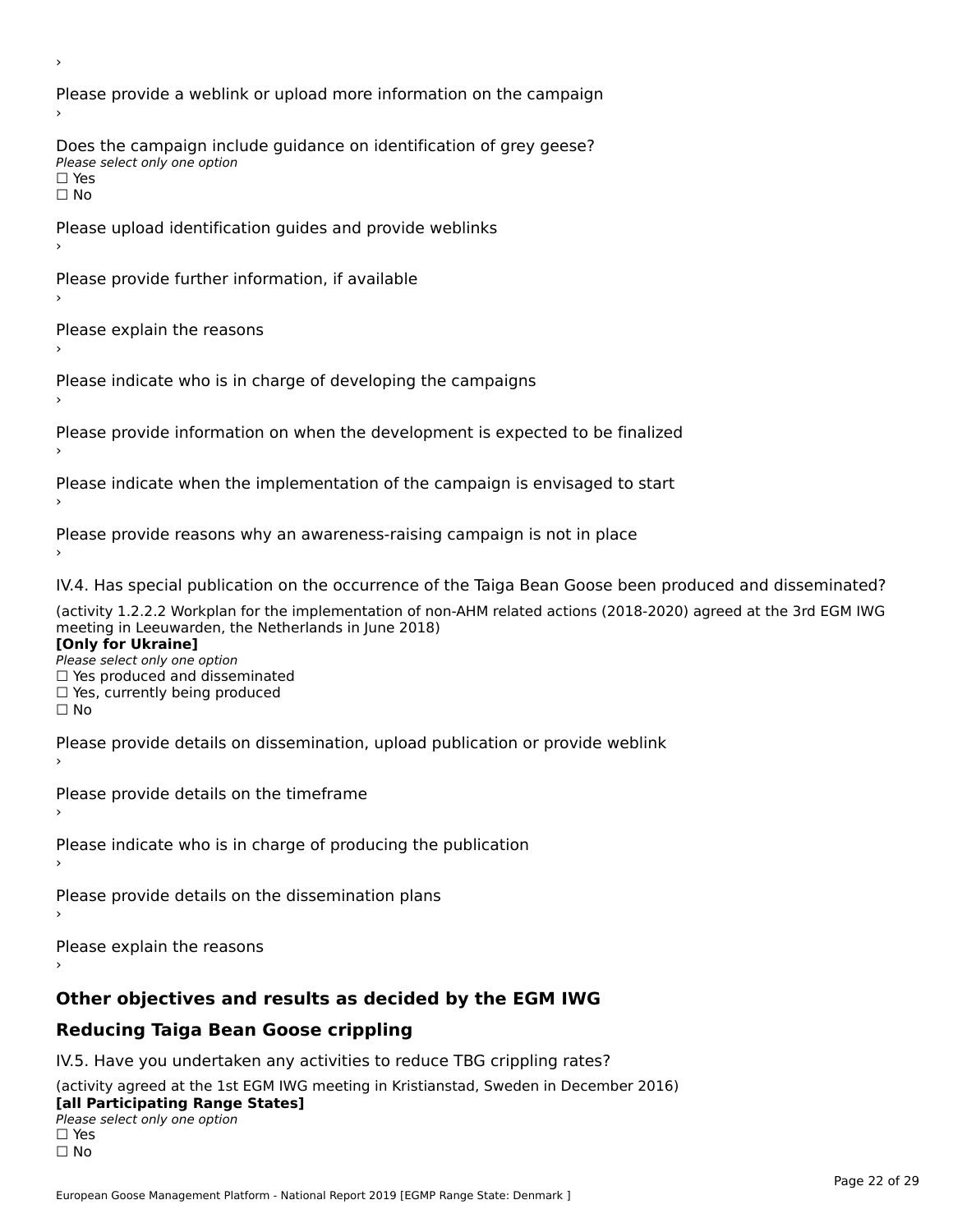Please provide a weblink or upload more information on the campaign Does the campaign include guidance on identification of grey geese? Please select only one option<br>□ Yes □ Yes<br>□ No Please upload identification guides and provide weblinks Please provide further information, if available Please explain the reasons Please indicate who is in charge of developing the campaigns Please provide information on when the development is expected to be finalized Please indicate when the implementation of the campaign is envisaged to start Please provide reasons why an awareness-raising campaign is not in place IV.4. Has special publication on the occurrence of the Taiga Bean Goose been produced and disseminated? (activity 1.2.2.2 Workplan for the implementation of non-AHM related actions (2018-2020) agreed at the 3rd EGM IWG **[Only for Ukraine] □ Yes produced and disseminated**<br>Please select only one option  $\Box$  ies produced and disseminated  $\Box$  ies, currently being produced Please provide details on dissemination, upload publication or provide weblink Please provide details on the timeframe Please indicate who is in charge of producing the publication Please provide details on the dissemination plans Please explain the reasons **Other objectives and results as decided by the EGM IWG Reducing Taiga Bean Goose crippling** IV.5. Have you undertaken any activities to reduce TBG crippling rates? (activity agreed at the 1st EGM IWG meeting in Kristianstad, Sweden in December 2016)

#### **[all Participating Range States]**[all Participating Range States]

**Law Tarticipating Range**<br>Please select only one option

□ Yes<br>□ No

›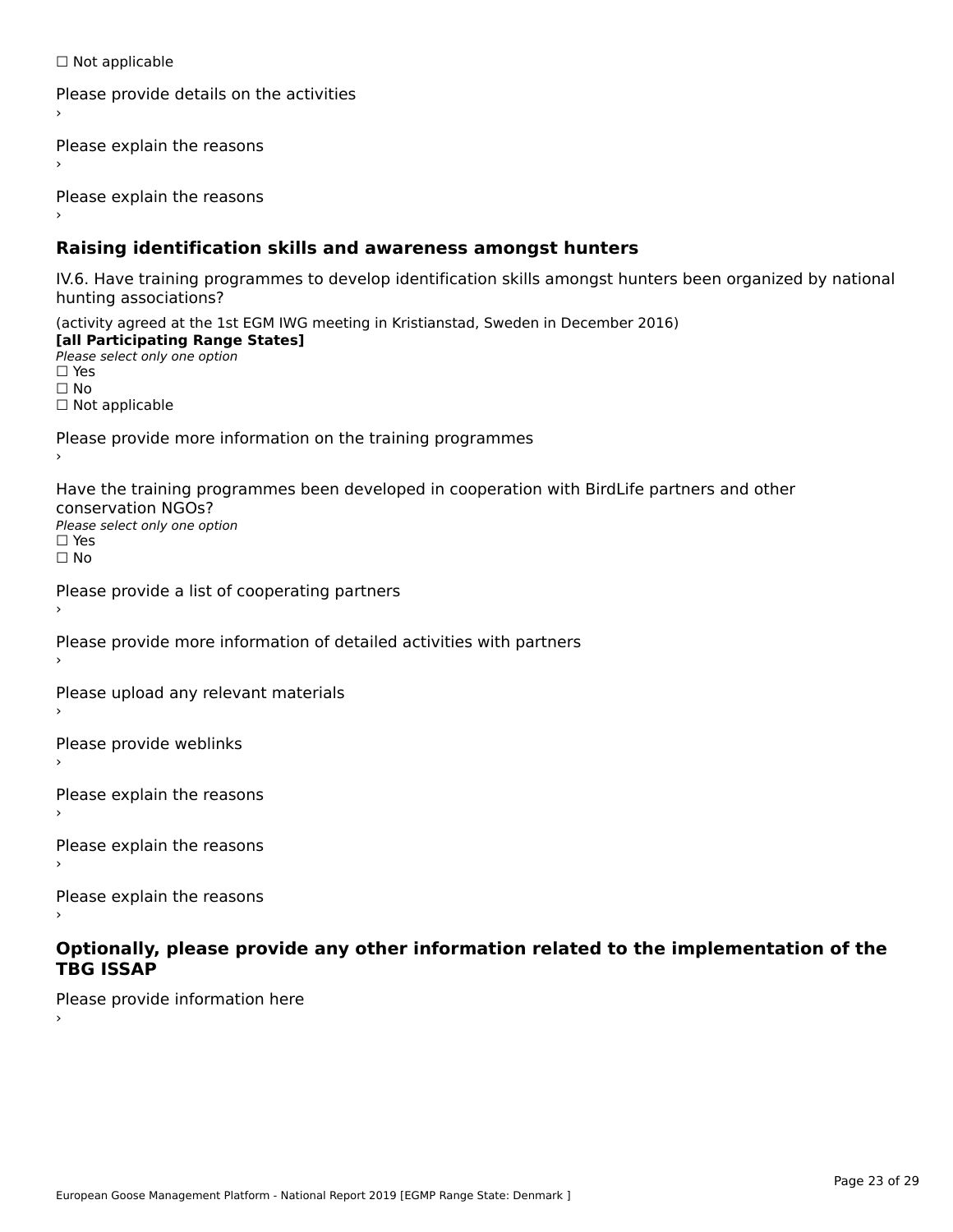☐ Not applicable

```
Please provide details on the activities
```
Please explain the reasons

Please explain the reasons

### **Raising identification skills and awareness amongst hunters**

IV.6. Have training programmes to develop identification skills amongst hunters been organized by national rv.o. riave training pro<br>hunting associations?

(activity agreed at the 1st EGM IWG meeting in Kristianstad, Sweden in December 2016) **[all Participating Range States]**[all Participating Range States] **Lan Tarticipating Range**<br>Please select only one option ☐ Yes☐ No□ Not applicable

Please provide more information on the training programmes

Have the training programmes been developed in cooperation with BirdLife partners and other conservation NGOs?Please select only one option☐ Yes☐ No

```
Please provide a list of cooperating partners
```
Please provide more information of detailed activities with partners

Please upload any relevant materials

Please provide weblinks

Please explain the reasons

Please explain the reasons›

Please explain the reasons

#### **Optionally, please provide any other information related to the implementation of the TBG ISSAPTBG ISSAP**

Please provide information here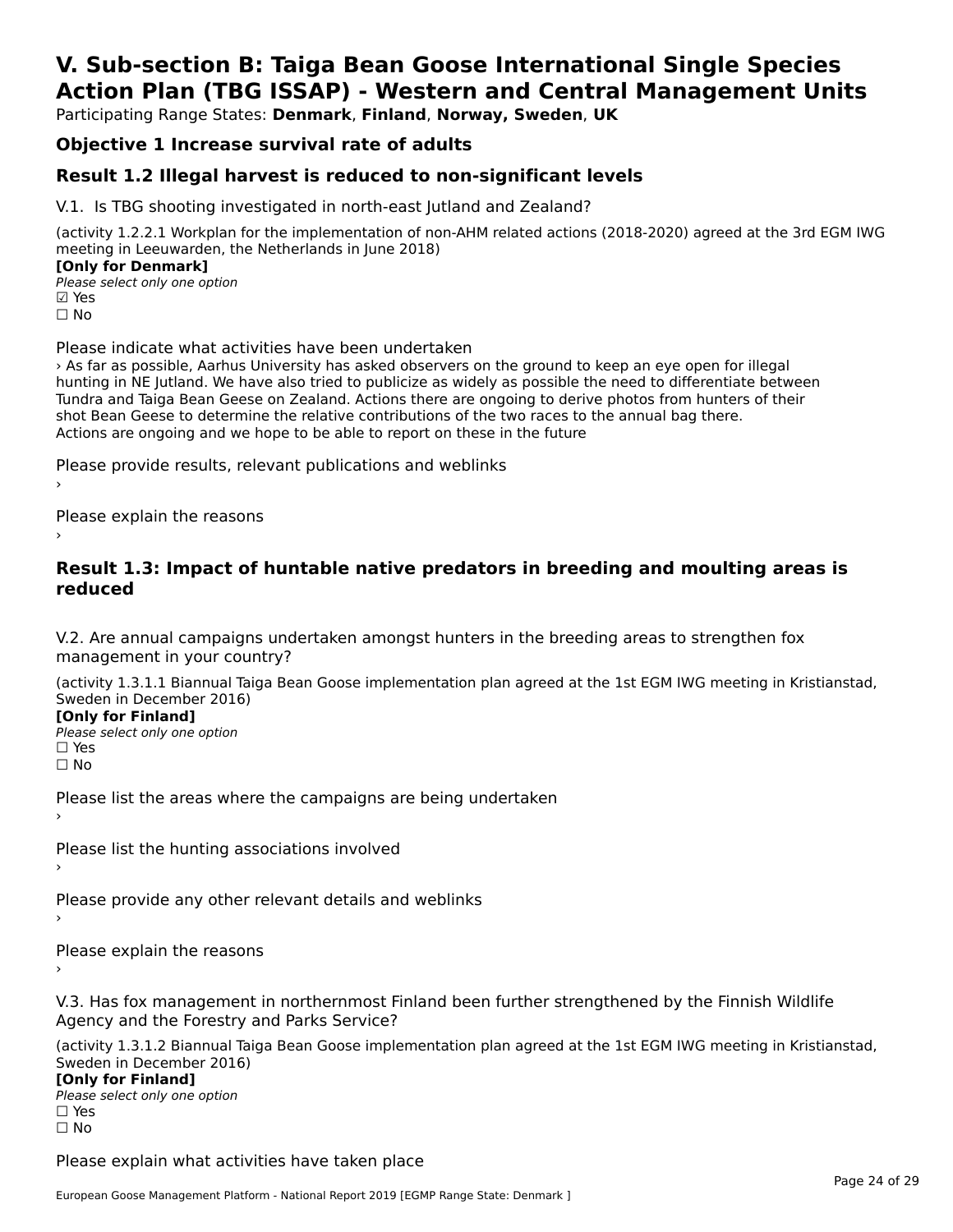# **V. Sub-section B: Taiga Bean Goose International Single SpeciesAction Plan (TBG ISSAP) - Western and Central Management Units**

Participating Range States: **Denmark**, **Finland**, **Norway, Sweden**, **UK**

# **Objective 1 Increase survival rate of adults**

## **Result 1.2 Illegal harvest is reduced to non-significant levels**

V.1. Is TBG shooting investigated in north-east Jutland and Zealand?

(activity 1.2.2.1 Workplan for the implementation of non-AHM related actions (2018-2020) agreed at the 3rd EGM IWG meeting in Leeuwarden, the Netherlands in June 2018) **[Only for Denmark]** 

**Please select only one option ⊡** Yes ☐ No

Please indicate what activities have been undertaken

› As far as possible, Aarhus University has asked observers on the ground to keep an eye open for illegal hunting in NE Jutland. We have also tried to publicize as widely as possible the need to differentiate between Tundra and Taiga Bean Geese on Zealand. Actions there are ongoing to derive photos from hunters of their<br>Tundra and Taiga Bean Geese on Zealand. Actions there are ongoing to derive photos from hunters of their shot Bean Geese to determine the relative contributions of the two races to the annual bag there. shot bean deese to determine the relative contributions of the two races to<br>Actions are ongoing and we hope to be able to report on these in the future

Please provide results, relevant publications and weblinks ›

Please explain the reasons

#### **Result 1.3: Impact of huntable native predators in breeding and moulting areas is reduced**

V.2. Are annual campaigns undertaken amongst hunters in the breeding areas to strengthen fox v.z. Are annual campaigns und<br>management in your country?

(activity 1.3.1.1 Biannual Taiga Bean Goose implementation plan agreed at the 1st EGM IWG meeting in Kristianstad, Sweden in December 2016) **[Only for Finland]**

**□ Please select only one option** □ Yes<br>□ No

Please list the areas where the campaigns are being undertaken

Please list the hunting associations involved

Please provide any other relevant details and weblinks

›

Please explain the reasons

V.3. Has fox management in northernmost Finland been further strengthened by the Finnish Wildlife v.5. Has fox management in northernmost F<br>Agency and the Forestry and Parks Service?

(activity 1.3.1.2 Biannual Taiga Bean Goose implementation plan agreed at the 1st EGM IWG meeting in Kristianstad, Sweden in December 2016) **[Only for Finland]**

**□ Please select only one option** □ Yes<br>□ No

Please explain what activities have taken place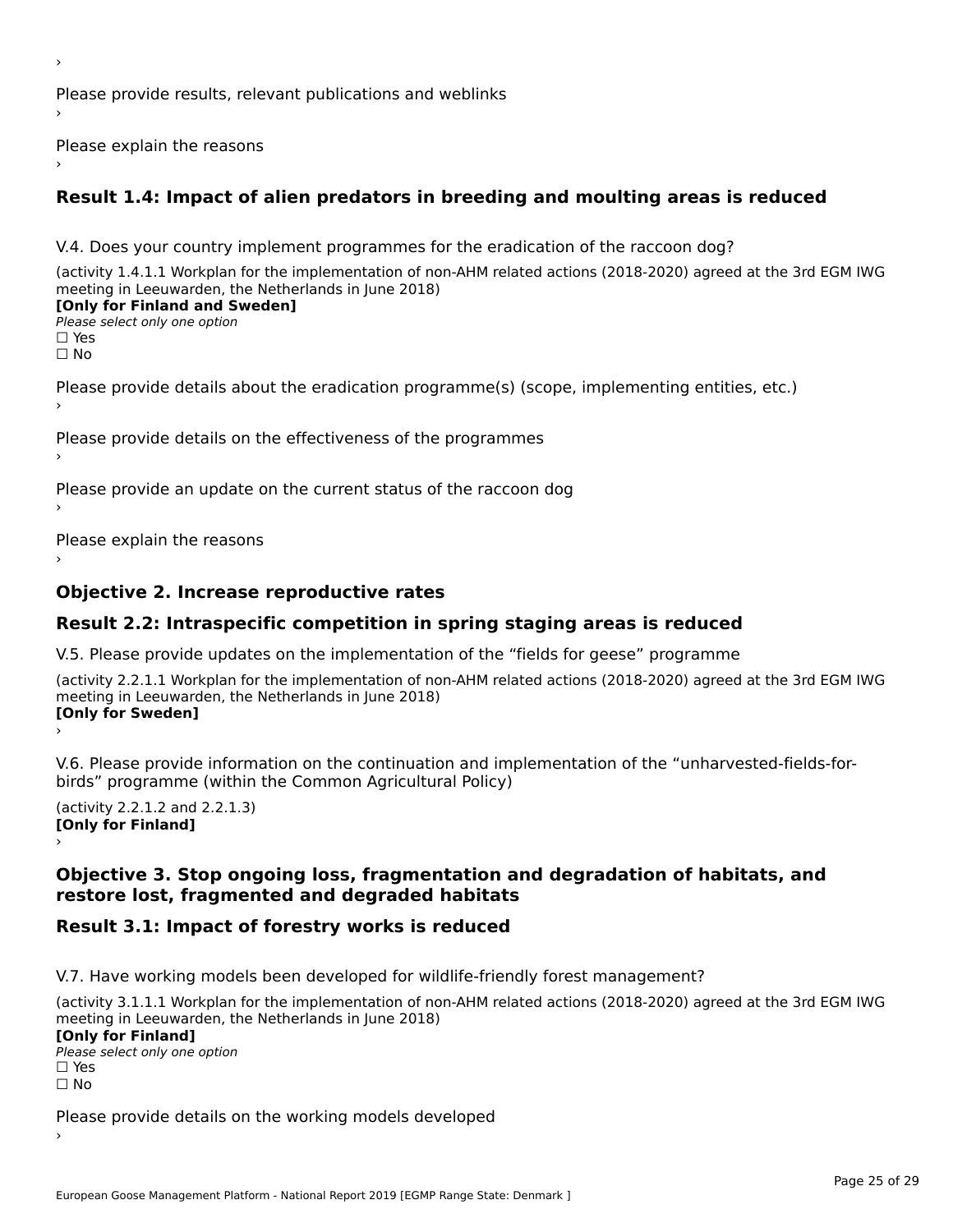Please provide results, relevant publications and weblinks ›

Please explain the reasons

# **Result 1.4: Impact of alien predators in breeding and moulting areas is reduced**

V.4. Does your country implement programmes for the eradication of the raccoon dog?

(activity 1.4.1.1 Workplan for the implementation of non-AHM related actions (2018-2020) agreed at the 3rd EGM IWG meeting in Leeuwarden, the Netherlands in June 2018) **[Only for Finland and Sweden]**

# **Please select only one option**

□ Yes<br>□ No

›

Please provide details about the eradication programme(s) (scope, implementing entities, etc.)

Please provide details on the effectiveness of the programmes

Please provide an update on the current status of the raccoon dog

Please explain the reasons

# **Objective 2. Increase reproductive rates**

# **Result 2.2: Intraspecific competition in spring staging areas is reduced**

V.5. Please provide updates on the implementation of the "fields for geese" programme

(activity 2.2.1.1 Workplan for the implementation of non-AHM related actions (2018-2020) agreed at the 3rd EGM IWG meeting in Leeuwarden, the Netherlands in June 2018) **[Only for Sweden]**Loury for Swedent

V.6. Please provide information on the continuation and implementation of the "unharvested-fields-forbirds" programme (within the Common Agricultural Policy)

 $($ activity 2.2.1.2 and 2.2.1.3) **[Only for Finland]**lomy for Finland]

#### **Objective 3. Stop ongoing loss, fragmentation and degradation of habitats, and restore lost, fragmented and degraded habitats**restore lost, fragmented and degraded habitats

# **Result 3.1: Impact of forestry works is reduced**

V.7. Have working models been developed for wildlife-friendly forest management?

(activity 3.1.1.1 Workplan for the implementation of non-AHM related actions (2018-2020) agreed at the 3rd EGM IWG meeting in Leeuwarden, the Netherlands in June 2018) **[Only for Finland]**

Please select only one option☐ Yes☐ No

Please provide details on the working models developed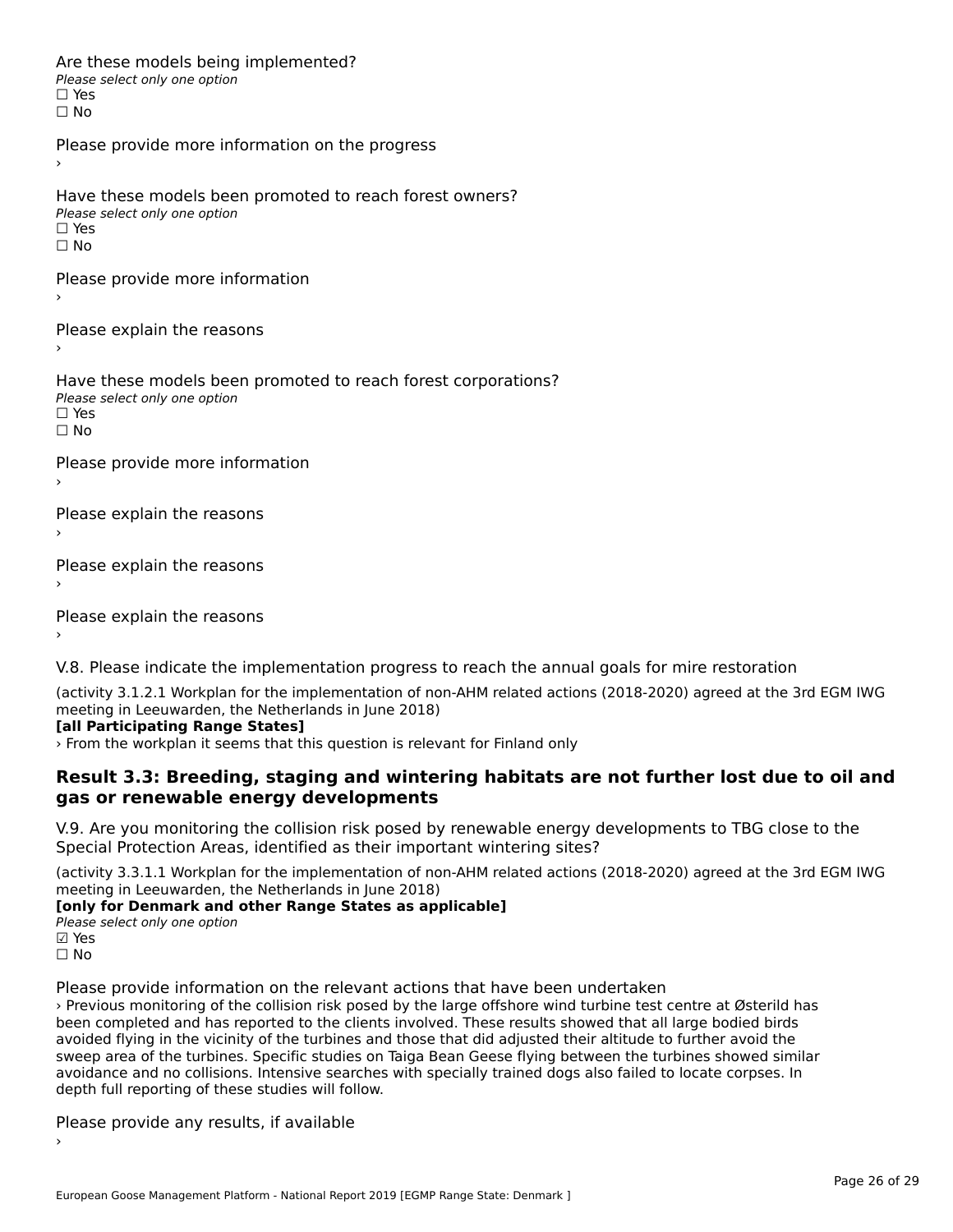Are these models being implemented? ∩ne enese moders being<br>Please select only one option □ Yes<br>□ No

Please provide more information on the progress

Have these models been promoted to reach forest owners? ∩ave these models bee<br>Please select only one option □ Yes<br>□ No

Please provide more information

Please explain the reasons

›

Have these models been promoted to reach forest corporations? ∩ave these models bee<br>Please select only one option  $\Box$  Yes ☐ No

Please provide more information

Please explain the reasons ›

Please explain the reasons

Please explain the reasons

V.8. Please indicate the implementation progress to reach the annual goals for mire restoration

(activity 3.1.2.1 Workplan for the implementation of non-AHM related actions (2018-2020) agreed at the 3rd EGM IWG

#### **[all Participating Range States]**

› From the workplan it seems that this question is relevant for Finland only

#### **Result 3.3: Breeding, staging and wintering habitats are not further lost due to oil and gas or renewable energy developments**gas or renewable energy developments

V.9. Are you monitoring the collision risk posed by renewable energy developments to TBG close to the Special Protection Areas, identified as their important wintering sites?

(activity 3.3.1.1 Workplan for the implementation of non-AHM related actions (2018-2020) agreed at the 3rd EGM IWG meeting in Leeuwarden, the Netherlands in June 2018)

# **The Eurig III Leeuwarden, the Netherlands III julie 2016**

Please select only one option<br>Fi Yes ☐ No

Please provide information on the relevant actions that have been undertaken

› Previous monitoring of the collision risk posed by the large offshore wind turbine test centre at Østerild has been completed and has reported to the clients involved. These results showed that all large bodied birds avoided flying in the vicinity of the turbines and those that did adjusted their altitude to further avoid the avoided hying in the victinty of the turbines and those that did adjusted their altitude to further avoid the<br>sweep area of the turbines. Specific studies on Taiga Bean Geese flying between the turbines showed similar avoidance and no collisions. Intensive searches with specially trained dogs also failed to locate corpses. In depth full reporting of these studies will follow.

Please provide any results, if available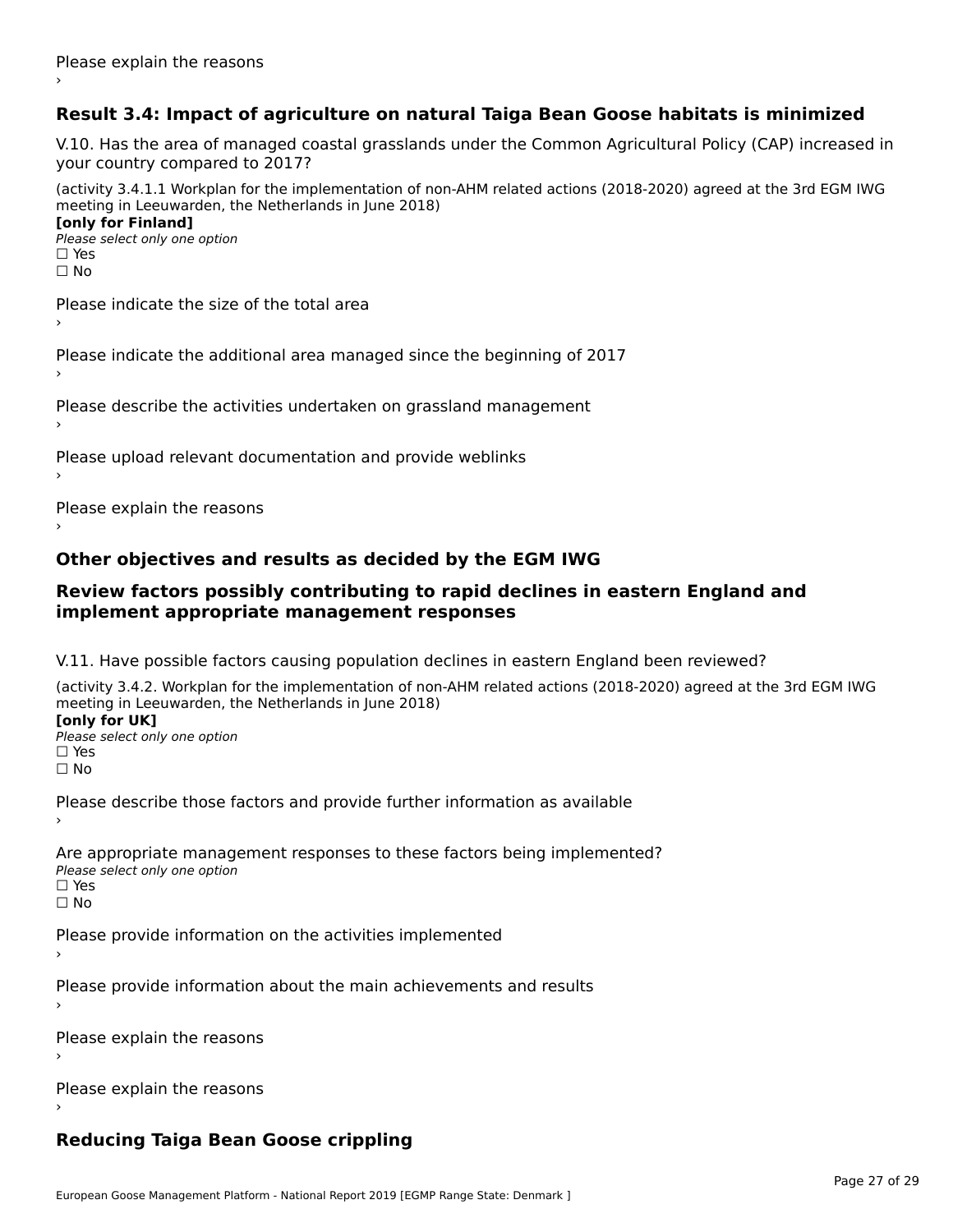## **Result 3.4: Impact of agriculture on natural Taiga Bean Goose habitats is minimized**

V.10. Has the area of managed coastal grasslands under the Common Agricultural Policy (CAP) increased in

(activity 3.4.1.1 Workplan for the implementation of non-AHM related actions (2018-2020) agreed at the 3rd EGM IWG meeting in Leeuwarden, the Netherlands in June 2018) **[only for Finland]**

**Please select only one option** □ Yes<br>□ No

Please indicate the size of the total area›

Please indicate the additional area managed since the beginning of 2017

Please describe the activities undertaken on grassland management

Please upload relevant documentation and provide weblinks

Please explain the reasons

### **Other objectives and results as decided by the EGM IWG**

#### **Review factors possibly contributing to rapid declines in eastern England and implement appropriate management responses**implement appropriate management responses

V.11. Have possible factors causing population declines in eastern England been reviewed?

(activity 3.4.2. Workplan for the implementation of non-AHM related actions (2018-2020) agreed at the 3rd EGM IWG meeting in Leeuwarden, the Netherlands in June 2018) **[only for UK]**

Please select only one option☐ Yes☐ No

Please describe those factors and provide further information as available

Are appropriate management responses to these factors being implemented? Please select only one option □ Yes<br>□ No

Please provide information on the activities implemented

Please provide information about the main achievements and results

Please explain the reasons›

Please explain the reasons

# **Reducing Taiga Bean Goose crippling**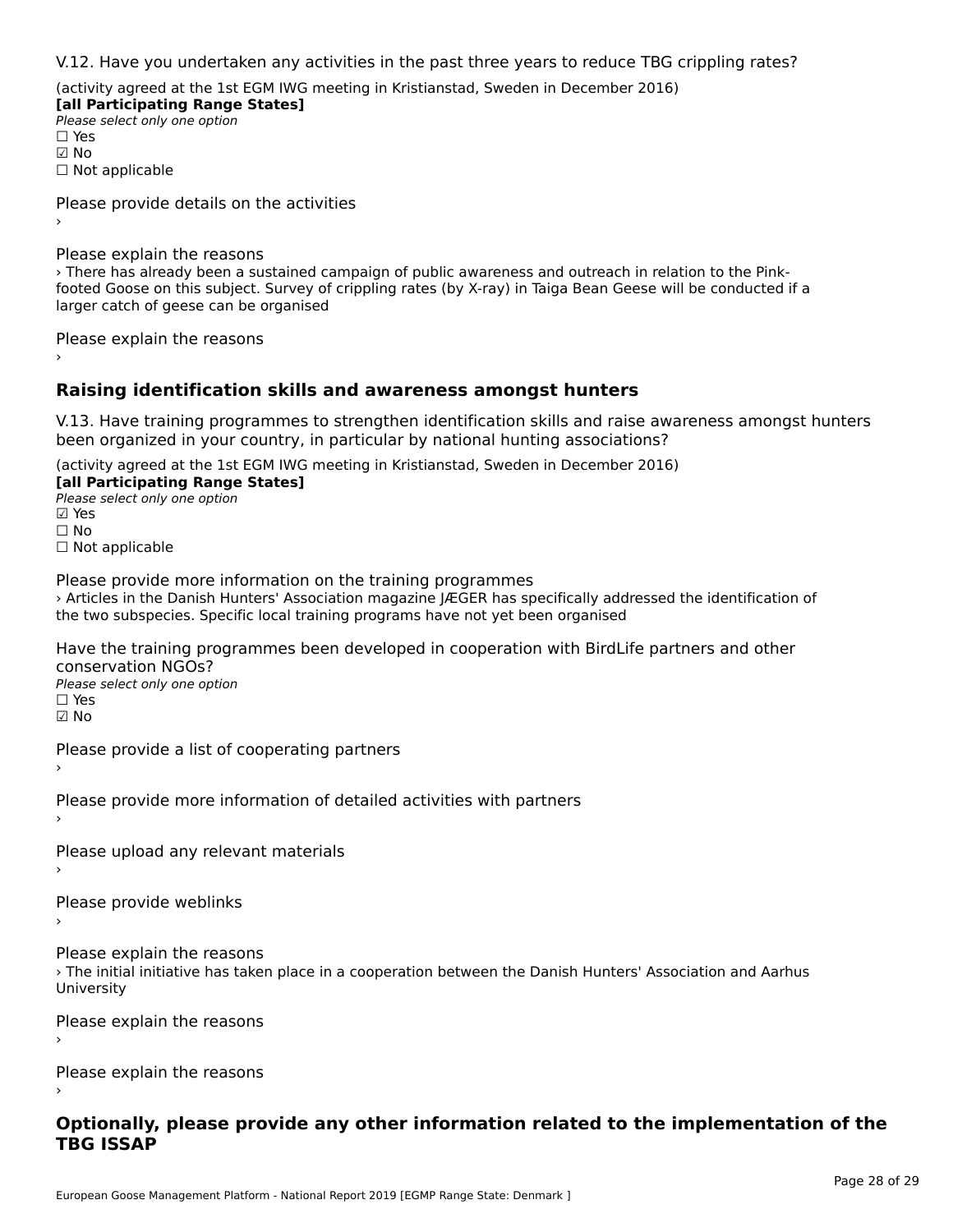V.12. Have you undertaken any activities in the past three years to reduce TBG crippling rates?

(activity agreed at the 1st EGM IWG meeting in Kristianstad, Sweden in December 2016)

**[all Participating Range States] Please select only one option** ☑ No☐ Not applicable

Please provide details on the activities

Please explain the reasons

› There has already been a sustained campaign of public awareness and outreach in relation to the Pink-Find the risk and an advantage campaign of public awareness and outfeach in relation to the Fink-<br>footed Goose on this subject. Survey of crippling rates (by X-ray) in Taiga Bean Geese will be conducted if a larger catch of geese can be organised

Please explain the reasons

## **Raising identification skills and awareness amongst hunters**

V.13. Have training programmes to strengthen identification skills and raise awareness amongst hunters been organized in your country, in particular by national hunting associations?

(activity agreed at the 1st EGM IWG meeting in Kristianstad, Sweden in December 2016)

**[all Participating Range States] Fair + articipating Range**<br>Please select only one option

☐ No

□ Not applicable

Please provide more information on the training programmes rease provide more information on the training programmes<br>> Articles in the Danish Hunters' Association magazine JÆGER has specifically addressed the identification of the two subspecies. Specific local training programs have not yet been organised

Have the training programmes been developed in cooperation with BirdLife partners and other conservation NGOs?

⊂onservation NGOS.<br>Please select only one option ☑ No

Please provide a list of cooperating partners

Please provide more information of detailed activities with partners

Please upload any relevant materials

Please provide weblinks›

Please explain the reasonsricuse explain the reusons<br>> The initial initiative has taken place in a cooperation between the Danish Hunters' Association and Aarhus<br>University University

Please explain the reasons›

Please explain the reasons›

#### **Optionally, please provide any other information related to the implementation of the TBG ISSAP**